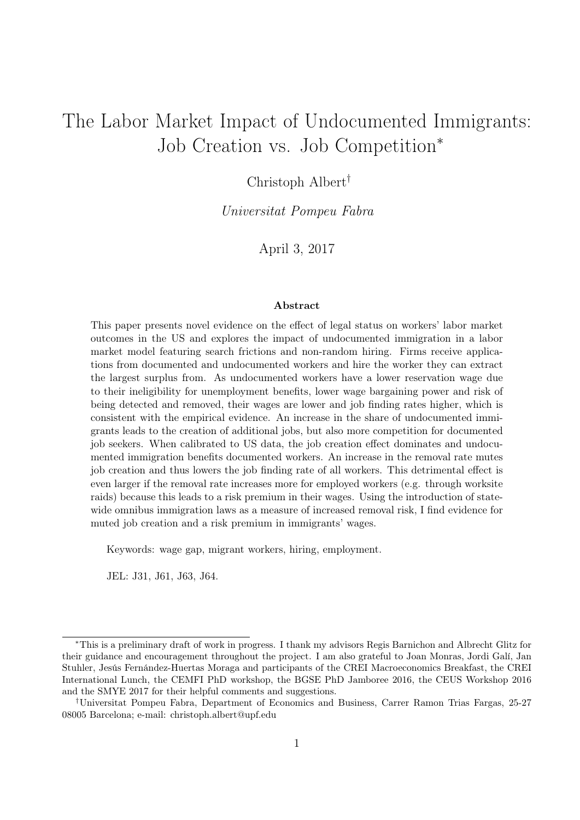# The Labor Market Impact of Undocumented Immigrants: Job Creation vs. Job Competition<sup>∗</sup>

### Christoph Albert†

Universitat Pompeu Fabra

April 3, 2017

#### Abstract

This paper presents novel evidence on the effect of legal status on workers' labor market outcomes in the US and explores the impact of undocumented immigration in a labor market model featuring search frictions and non-random hiring. Firms receive applications from documented and undocumented workers and hire the worker they can extract the largest surplus from. As undocumented workers have a lower reservation wage due to their ineligibility for unemployment benefits, lower wage bargaining power and risk of being detected and removed, their wages are lower and job finding rates higher, which is consistent with the empirical evidence. An increase in the share of undocumented immigrants leads to the creation of additional jobs, but also more competition for documented job seekers. When calibrated to US data, the job creation effect dominates and undocumented immigration benefits documented workers. An increase in the removal rate mutes job creation and thus lowers the job finding rate of all workers. This detrimental effect is even larger if the removal rate increases more for employed workers (e.g. through worksite raids) because this leads to a risk premium in their wages. Using the introduction of statewide omnibus immigration laws as a measure of increased removal risk, I find evidence for muted job creation and a risk premium in immigrants' wages.

Keywords: wage gap, migrant workers, hiring, employment.

JEL: J31, J61, J63, J64.

<sup>∗</sup>This is a preliminary draft of work in progress. I thank my advisors Regis Barnichon and Albrecht Glitz for their guidance and encouragement throughout the project. I am also grateful to Joan Monras, Jordi Galí, Jan Stuhler, Jesús Fernández-Huertas Moraga and participants of the CREI Macroeconomics Breakfast, the CREI International Lunch, the CEMFI PhD workshop, the BGSE PhD Jamboree 2016, the CEUS Workshop 2016 and the SMYE 2017 for their helpful comments and suggestions.

<sup>†</sup>Universitat Pompeu Fabra, Department of Economics and Business, Carrer Ramon Trias Fargas, 25-27 08005 Barcelona; e-mail: christoph.albert@upf.edu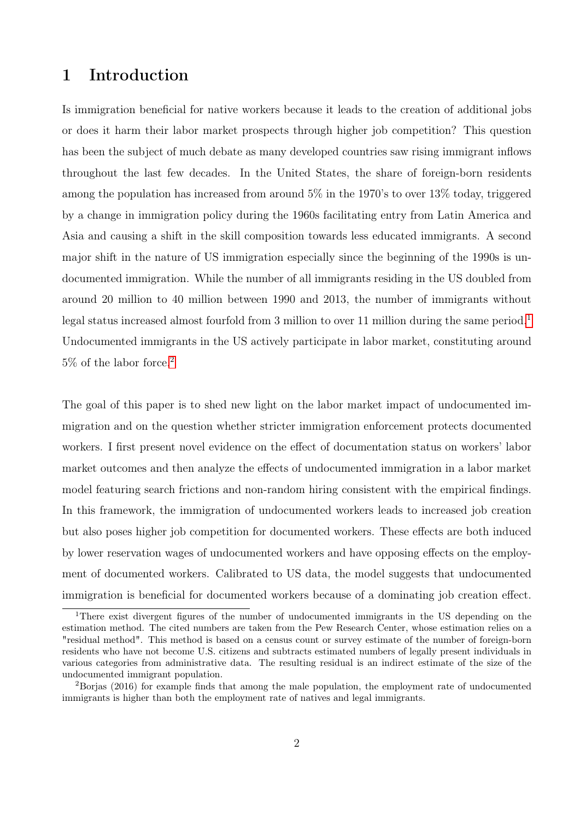# 1 Introduction

Is immigration beneficial for native workers because it leads to the creation of additional jobs or does it harm their labor market prospects through higher job competition? This question has been the subject of much debate as many developed countries saw rising immigrant inflows throughout the last few decades. In the United States, the share of foreign-born residents among the population has increased from around 5% in the 1970's to over 13% today, triggered by a change in immigration policy during the 1960s facilitating entry from Latin America and Asia and causing a shift in the skill composition towards less educated immigrants. A second major shift in the nature of US immigration especially since the beginning of the 1990s is undocumented immigration. While the number of all immigrants residing in the US doubled from around 20 million to 40 million between 1990 and 2013, the number of immigrants without legal status increased almost fourfold from 3 million to over [1](#page-1-0)1 million during the same period.<sup>1</sup> Undocumented immigrants in the US actively participate in labor market, constituting around 5% of the labor force.[2](#page-1-1)

The goal of this paper is to shed new light on the labor market impact of undocumented immigration and on the question whether stricter immigration enforcement protects documented workers. I first present novel evidence on the effect of documentation status on workers' labor market outcomes and then analyze the effects of undocumented immigration in a labor market model featuring search frictions and non-random hiring consistent with the empirical findings. In this framework, the immigration of undocumented workers leads to increased job creation but also poses higher job competition for documented workers. These effects are both induced by lower reservation wages of undocumented workers and have opposing effects on the employment of documented workers. Calibrated to US data, the model suggests that undocumented immigration is beneficial for documented workers because of a dominating job creation effect.

<span id="page-1-0"></span><sup>1</sup>There exist divergent figures of the number of undocumented immigrants in the US depending on the estimation method. The cited numbers are taken from the Pew Research Center, whose estimation relies on a "residual method". This method is based on a census count or survey estimate of the number of foreign-born residents who have not become U.S. citizens and subtracts estimated numbers of legally present individuals in various categories from administrative data. The resulting residual is an indirect estimate of the size of the undocumented immigrant population.

<span id="page-1-1"></span><sup>2</sup>Borjas (2016) for example finds that among the male population, the employment rate of undocumented immigrants is higher than both the employment rate of natives and legal immigrants.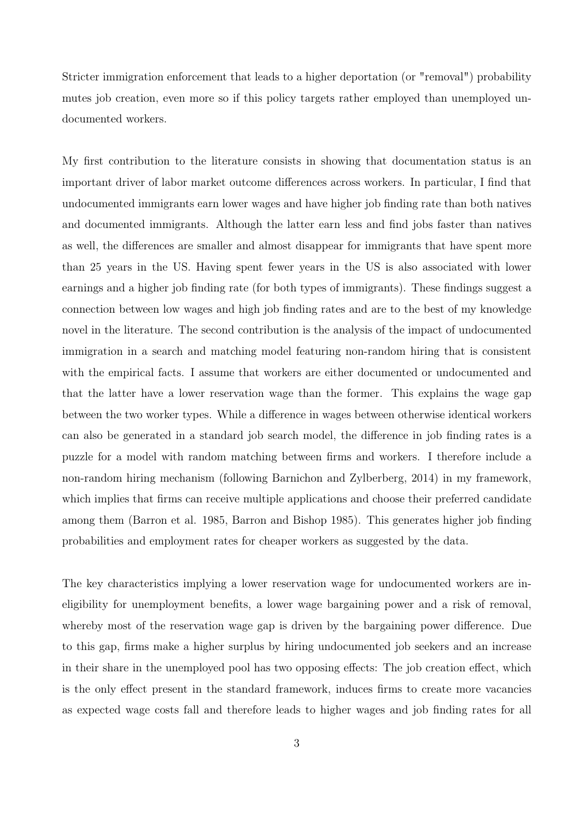Stricter immigration enforcement that leads to a higher deportation (or "removal") probability mutes job creation, even more so if this policy targets rather employed than unemployed undocumented workers.

My first contribution to the literature consists in showing that documentation status is an important driver of labor market outcome differences across workers. In particular, I find that undocumented immigrants earn lower wages and have higher job finding rate than both natives and documented immigrants. Although the latter earn less and find jobs faster than natives as well, the differences are smaller and almost disappear for immigrants that have spent more than 25 years in the US. Having spent fewer years in the US is also associated with lower earnings and a higher job finding rate (for both types of immigrants). These findings suggest a connection between low wages and high job finding rates and are to the best of my knowledge novel in the literature. The second contribution is the analysis of the impact of undocumented immigration in a search and matching model featuring non-random hiring that is consistent with the empirical facts. I assume that workers are either documented or undocumented and that the latter have a lower reservation wage than the former. This explains the wage gap between the two worker types. While a difference in wages between otherwise identical workers can also be generated in a standard job search model, the difference in job finding rates is a puzzle for a model with random matching between firms and workers. I therefore include a non-random hiring mechanism (following Barnichon and Zylberberg, 2014) in my framework, which implies that firms can receive multiple applications and choose their preferred candidate among them (Barron et al. 1985, Barron and Bishop 1985). This generates higher job finding probabilities and employment rates for cheaper workers as suggested by the data.

The key characteristics implying a lower reservation wage for undocumented workers are ineligibility for unemployment benefits, a lower wage bargaining power and a risk of removal, whereby most of the reservation wage gap is driven by the bargaining power difference. Due to this gap, firms make a higher surplus by hiring undocumented job seekers and an increase in their share in the unemployed pool has two opposing effects: The job creation effect, which is the only effect present in the standard framework, induces firms to create more vacancies as expected wage costs fall and therefore leads to higher wages and job finding rates for all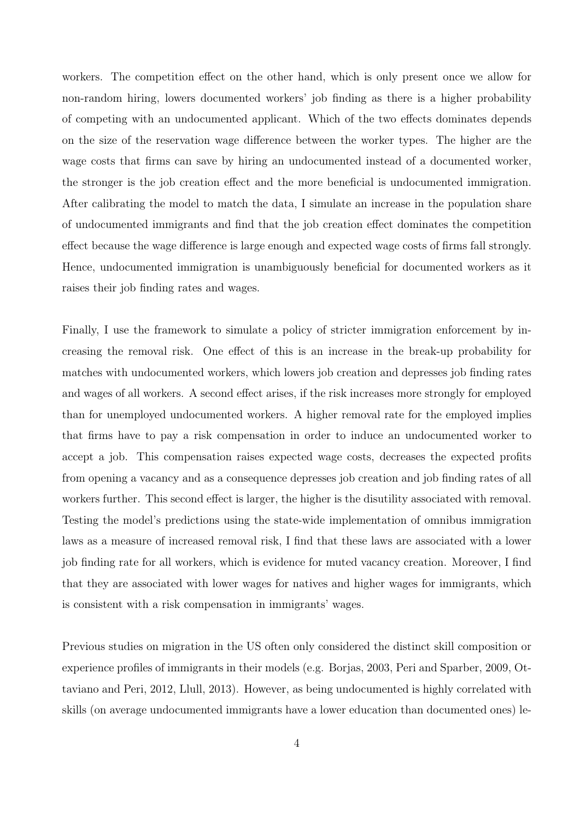workers. The competition effect on the other hand, which is only present once we allow for non-random hiring, lowers documented workers' job finding as there is a higher probability of competing with an undocumented applicant. Which of the two effects dominates depends on the size of the reservation wage difference between the worker types. The higher are the wage costs that firms can save by hiring an undocumented instead of a documented worker, the stronger is the job creation effect and the more beneficial is undocumented immigration. After calibrating the model to match the data, I simulate an increase in the population share of undocumented immigrants and find that the job creation effect dominates the competition effect because the wage difference is large enough and expected wage costs of firms fall strongly. Hence, undocumented immigration is unambiguously beneficial for documented workers as it raises their job finding rates and wages.

Finally, I use the framework to simulate a policy of stricter immigration enforcement by increasing the removal risk. One effect of this is an increase in the break-up probability for matches with undocumented workers, which lowers job creation and depresses job finding rates and wages of all workers. A second effect arises, if the risk increases more strongly for employed than for unemployed undocumented workers. A higher removal rate for the employed implies that firms have to pay a risk compensation in order to induce an undocumented worker to accept a job. This compensation raises expected wage costs, decreases the expected profits from opening a vacancy and as a consequence depresses job creation and job finding rates of all workers further. This second effect is larger, the higher is the disutility associated with removal. Testing the model's predictions using the state-wide implementation of omnibus immigration laws as a measure of increased removal risk, I find that these laws are associated with a lower job finding rate for all workers, which is evidence for muted vacancy creation. Moreover, I find that they are associated with lower wages for natives and higher wages for immigrants, which is consistent with a risk compensation in immigrants' wages.

Previous studies on migration in the US often only considered the distinct skill composition or experience profiles of immigrants in their models (e.g. Borjas, 2003, Peri and Sparber, 2009, Ottaviano and Peri, 2012, Llull, 2013). However, as being undocumented is highly correlated with skills (on average undocumented immigrants have a lower education than documented ones) le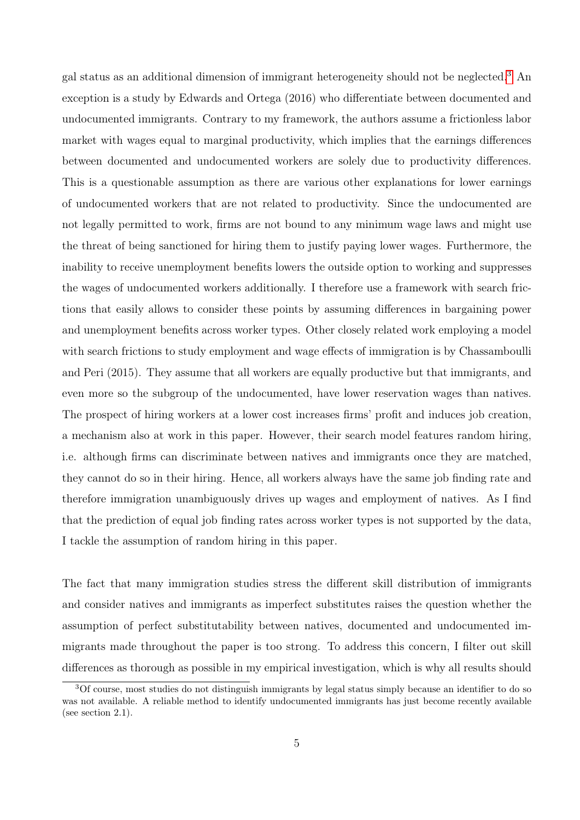gal status as an additional dimension of immigrant heterogeneity should not be neglected.[3](#page-4-0) An exception is a study by Edwards and Ortega (2016) who differentiate between documented and undocumented immigrants. Contrary to my framework, the authors assume a frictionless labor market with wages equal to marginal productivity, which implies that the earnings differences between documented and undocumented workers are solely due to productivity differences. This is a questionable assumption as there are various other explanations for lower earnings of undocumented workers that are not related to productivity. Since the undocumented are not legally permitted to work, firms are not bound to any minimum wage laws and might use the threat of being sanctioned for hiring them to justify paying lower wages. Furthermore, the inability to receive unemployment benefits lowers the outside option to working and suppresses the wages of undocumented workers additionally. I therefore use a framework with search frictions that easily allows to consider these points by assuming differences in bargaining power and unemployment benefits across worker types. Other closely related work employing a model with search frictions to study employment and wage effects of immigration is by Chassamboulli and Peri (2015). They assume that all workers are equally productive but that immigrants, and even more so the subgroup of the undocumented, have lower reservation wages than natives. The prospect of hiring workers at a lower cost increases firms' profit and induces job creation, a mechanism also at work in this paper. However, their search model features random hiring, i.e. although firms can discriminate between natives and immigrants once they are matched, they cannot do so in their hiring. Hence, all workers always have the same job finding rate and therefore immigration unambiguously drives up wages and employment of natives. As I find that the prediction of equal job finding rates across worker types is not supported by the data, I tackle the assumption of random hiring in this paper.

The fact that many immigration studies stress the different skill distribution of immigrants and consider natives and immigrants as imperfect substitutes raises the question whether the assumption of perfect substitutability between natives, documented and undocumented immigrants made throughout the paper is too strong. To address this concern, I filter out skill differences as thorough as possible in my empirical investigation, which is why all results should

<span id="page-4-0"></span><sup>&</sup>lt;sup>3</sup>Of course, most studies do not distinguish immigrants by legal status simply because an identifier to do so was not available. A reliable method to identify undocumented immigrants has just become recently available (see section 2.1).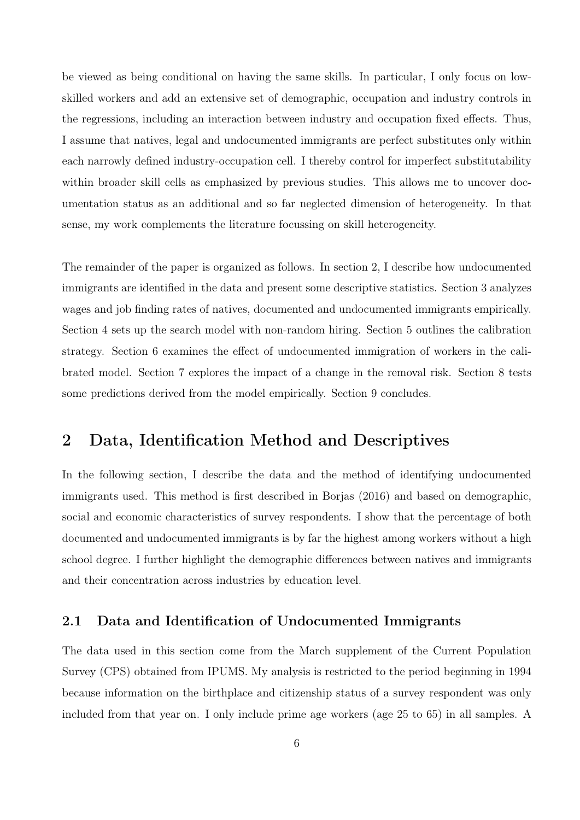be viewed as being conditional on having the same skills. In particular, I only focus on lowskilled workers and add an extensive set of demographic, occupation and industry controls in the regressions, including an interaction between industry and occupation fixed effects. Thus, I assume that natives, legal and undocumented immigrants are perfect substitutes only within each narrowly defined industry-occupation cell. I thereby control for imperfect substitutability within broader skill cells as emphasized by previous studies. This allows me to uncover documentation status as an additional and so far neglected dimension of heterogeneity. In that sense, my work complements the literature focussing on skill heterogeneity.

The remainder of the paper is organized as follows. In section 2, I describe how undocumented immigrants are identified in the data and present some descriptive statistics. Section 3 analyzes wages and job finding rates of natives, documented and undocumented immigrants empirically. Section 4 sets up the search model with non-random hiring. Section 5 outlines the calibration strategy. Section 6 examines the effect of undocumented immigration of workers in the calibrated model. Section 7 explores the impact of a change in the removal risk. Section 8 tests some predictions derived from the model empirically. Section 9 concludes.

# 2 Data, Identification Method and Descriptives

In the following section, I describe the data and the method of identifying undocumented immigrants used. This method is first described in Borjas (2016) and based on demographic, social and economic characteristics of survey respondents. I show that the percentage of both documented and undocumented immigrants is by far the highest among workers without a high school degree. I further highlight the demographic differences between natives and immigrants and their concentration across industries by education level.

### 2.1 Data and Identification of Undocumented Immigrants

The data used in this section come from the March supplement of the Current Population Survey (CPS) obtained from IPUMS. My analysis is restricted to the period beginning in 1994 because information on the birthplace and citizenship status of a survey respondent was only included from that year on. I only include prime age workers (age 25 to 65) in all samples. A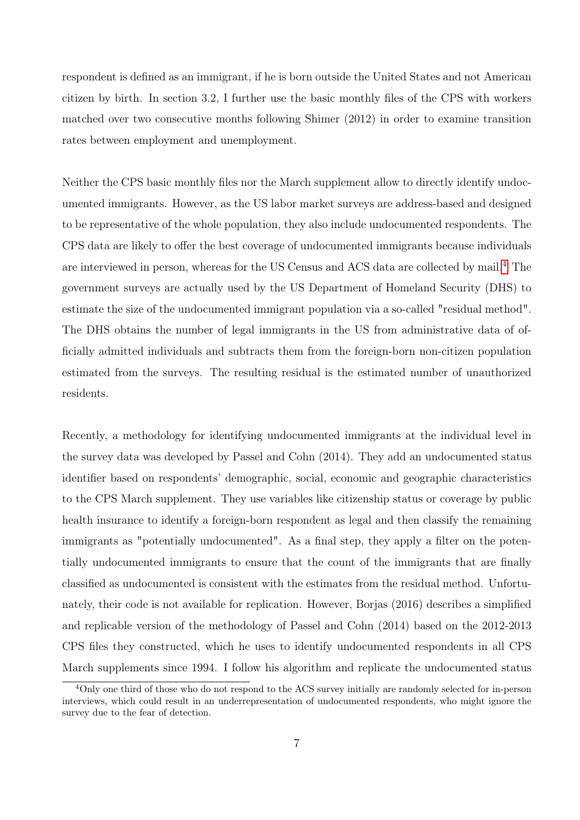respondent is defined as an immigrant, if he is born outside the United States and not American citizen by birth. In section 3.2, I further use the basic monthly files of the CPS with workers matched over two consecutive months following Shimer (2012) in order to examine transition rates between employment and unemployment.

Neither the CPS basic monthly files nor the March supplement allow to directly identify undocumented immigrants. However, as the US labor market surveys are address-based and designed to be representative of the whole population, they also include undocumented respondents. The CPS data are likely to offer the best coverage of undocumented immigrants because individuals are interviewed in person, whereas for the US Census and ACS data are collected by mail.<sup>[4](#page-6-0)</sup> The government surveys are actually used by the US Department of Homeland Security (DHS) to estimate the size of the undocumented immigrant population via a so-called "residual method". The DHS obtains the number of legal immigrants in the US from administrative data of officially admitted individuals and subtracts them from the foreign-born non-citizen population estimated from the surveys. The resulting residual is the estimated number of unauthorized residents.

Recently, a methodology for identifying undocumented immigrants at the individual level in the survey data was developed by Passel and Cohn (2014). They add an undocumented status identifier based on respondents' demographic, social, economic and geographic characteristics to the CPS March supplement. They use variables like citizenship status or coverage by public health insurance to identify a foreign-born respondent as legal and then classify the remaining immigrants as "potentially undocumented". As a final step, they apply a filter on the potentially undocumented immigrants to ensure that the count of the immigrants that are finally classified as undocumented is consistent with the estimates from the residual method. Unfortunately, their code is not available for replication. However, Borjas (2016) describes a simplified and replicable version of the methodology of Passel and Cohn (2014) based on the 2012-2013 CPS files they constructed, which he uses to identify undocumented respondents in all CPS March supplements since 1994. I follow his algorithm and replicate the undocumented status

<span id="page-6-0"></span><sup>&</sup>lt;sup>4</sup>Only one third of those who do not respond to the ACS survey initially are randomly selected for in-person interviews, which could result in an underrepresentation of undocumented respondents, who might ignore the survey due to the fear of detection.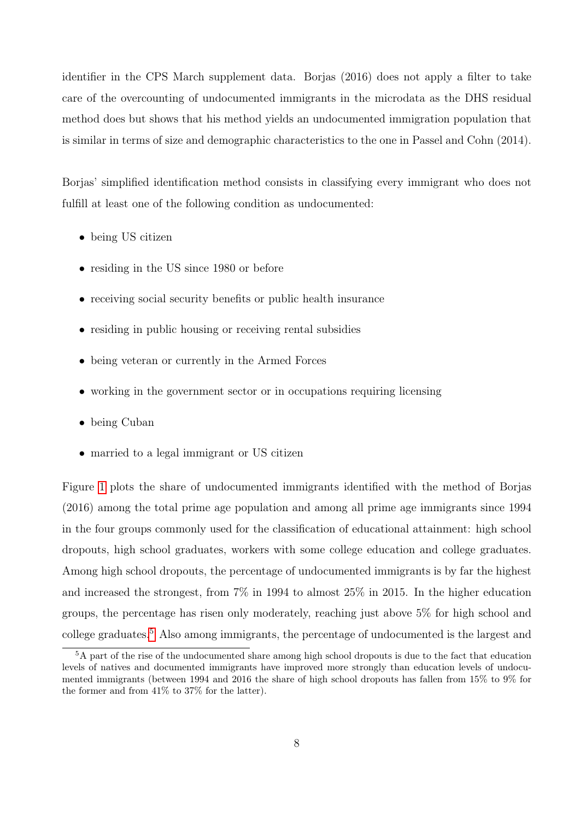identifier in the CPS March supplement data. Borjas (2016) does not apply a filter to take care of the overcounting of undocumented immigrants in the microdata as the DHS residual method does but shows that his method yields an undocumented immigration population that is similar in terms of size and demographic characteristics to the one in Passel and Cohn (2014).

Borjas' simplified identification method consists in classifying every immigrant who does not fulfill at least one of the following condition as undocumented:

- being US citizen
- residing in the US since 1980 or before
- receiving social security benefits or public health insurance
- residing in public housing or receiving rental subsidies
- being veteran or currently in the Armed Forces
- working in the government sector or in occupations requiring licensing
- being Cuban
- married to a legal immigrant or US citizen

Figure [1](#page-8-0) plots the share of undocumented immigrants identified with the method of Borjas (2016) among the total prime age population and among all prime age immigrants since 1994 in the four groups commonly used for the classification of educational attainment: high school dropouts, high school graduates, workers with some college education and college graduates. Among high school dropouts, the percentage of undocumented immigrants is by far the highest and increased the strongest, from 7% in 1994 to almost 25% in 2015. In the higher education groups, the percentage has risen only moderately, reaching just above 5% for high school and college graduates.[5](#page-7-0) Also among immigrants, the percentage of undocumented is the largest and

<span id="page-7-0"></span><sup>&</sup>lt;sup>5</sup>A part of the rise of the undocumented share among high school dropouts is due to the fact that education levels of natives and documented immigrants have improved more strongly than education levels of undocumented immigrants (between 1994 and 2016 the share of high school dropouts has fallen from 15% to 9% for the former and from 41% to 37% for the latter).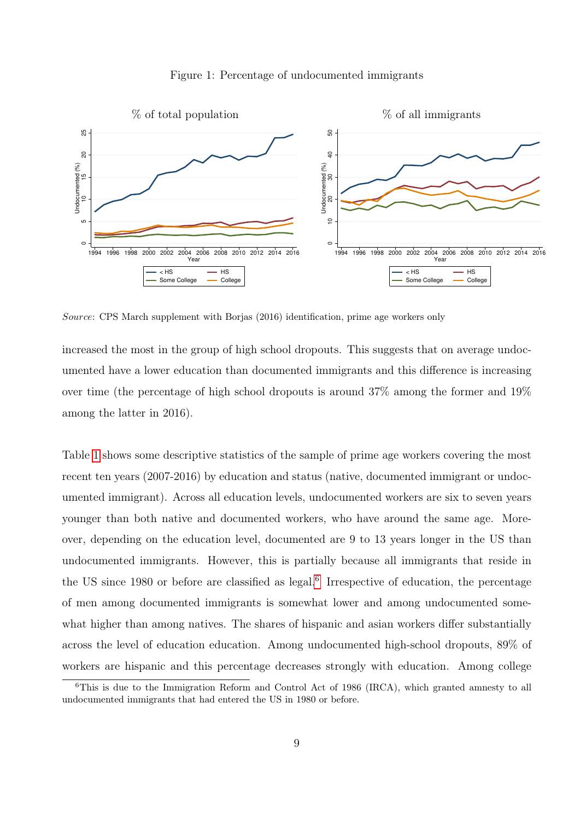

<span id="page-8-0"></span>

Source: CPS March supplement with Borjas (2016) identification, prime age workers only

increased the most in the group of high school dropouts. This suggests that on average undocumented have a lower education than documented immigrants and this difference is increasing over time (the percentage of high school dropouts is around 37% among the former and 19% among the latter in 2016).

Table [1](#page-9-0) shows some descriptive statistics of the sample of prime age workers covering the most recent ten years (2007-2016) by education and status (native, documented immigrant or undocumented immigrant). Across all education levels, undocumented workers are six to seven years younger than both native and documented workers, who have around the same age. Moreover, depending on the education level, documented are 9 to 13 years longer in the US than undocumented immigrants. However, this is partially because all immigrants that reside in the US since 1980 or before are classified as legal.<sup>[6](#page-8-1)</sup> Irrespective of education, the percentage of men among documented immigrants is somewhat lower and among undocumented somewhat higher than among natives. The shares of hispanic and asian workers differ substantially across the level of education education. Among undocumented high-school dropouts, 89% of workers are hispanic and this percentage decreases strongly with education. Among college

<span id="page-8-1"></span><sup>&</sup>lt;sup>6</sup>This is due to the Immigration Reform and Control Act of 1986 (IRCA), which granted amnesty to all undocumented immigrants that had entered the US in 1980 or before.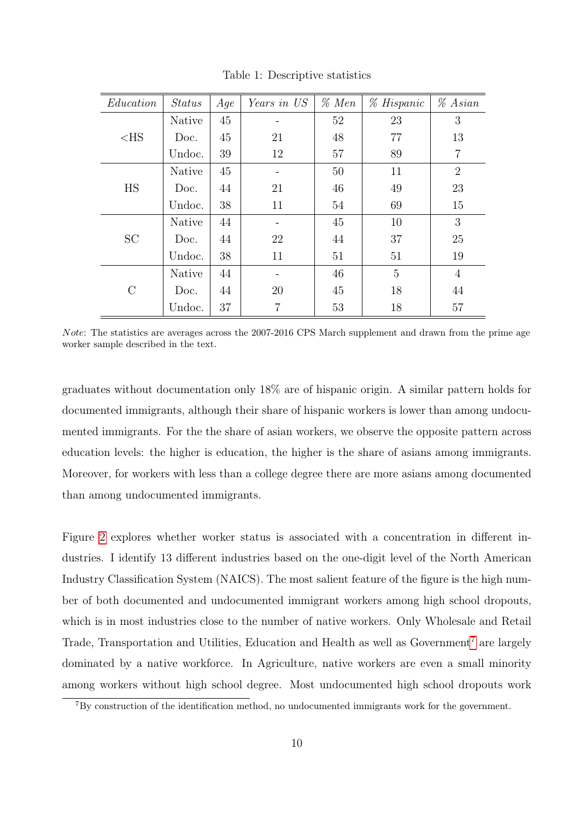<span id="page-9-0"></span>

| Education | <b>Status</b> | Aqe | Years in US    | $\%$ Men | % Hispanic | $% A$ sian     |
|-----------|---------------|-----|----------------|----------|------------|----------------|
|           | <b>Native</b> | 45  |                | 52       | 23         | 3              |
| $<$ HS    | Doc.          | 45  | 21             | 48       | 77         | 13             |
|           | Undoc.        | 39  | 12             | 57       | 89         | $\overline{7}$ |
|           | Native        | 45  |                | 50       | 11         | $\overline{2}$ |
| <b>HS</b> | Doc.          | 44  | 21             | 46       | 49         | 23             |
|           | Undoc.        | 38  | 11             | 54       | 69         | 15             |
|           | <b>Native</b> | 44  |                | 45       | 10         | 3              |
| <b>SC</b> | Doc.          | 44  | 22             | 44       | 37         | 25             |
|           | Undoc.        | 38  | 11             | 51       | 51         | 19             |
|           | <b>Native</b> | 44  |                | 46       | 5          | $\overline{4}$ |
| $\rm C$   | Doc.          | 44  | 20             | 45       | 18         | 44             |
|           | Undoc.        | 37  | $\overline{7}$ | 53       | 18         | 57             |

Table 1: Descriptive statistics

Note: The statistics are averages across the 2007-2016 CPS March supplement and drawn from the prime age worker sample described in the text.

graduates without documentation only 18% are of hispanic origin. A similar pattern holds for documented immigrants, although their share of hispanic workers is lower than among undocumented immigrants. For the the share of asian workers, we observe the opposite pattern across education levels: the higher is education, the higher is the share of asians among immigrants. Moreover, for workers with less than a college degree there are more asians among documented than among undocumented immigrants.

Figure [2](#page-10-0) explores whether worker status is associated with a concentration in different industries. I identify 13 different industries based on the one-digit level of the North American Industry Classification System (NAICS). The most salient feature of the figure is the high number of both documented and undocumented immigrant workers among high school dropouts, which is in most industries close to the number of native workers. Only Wholesale and Retail Trade, Transportation and Utilities, Education and Health as well as Government<sup>[7](#page-9-1)</sup> are largely dominated by a native workforce. In Agriculture, native workers are even a small minority among workers without high school degree. Most undocumented high school dropouts work

<span id="page-9-1"></span><sup>7</sup>By construction of the identification method, no undocumented immigrants work for the government.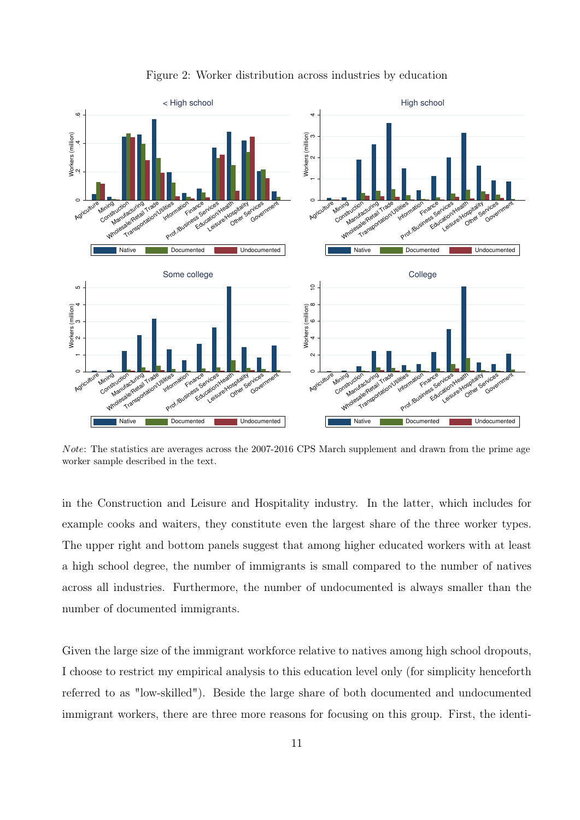<span id="page-10-0"></span>

Figure 2: Worker distribution across industries by education

Note: The statistics are averages across the 2007-2016 CPS March supplement and drawn from the prime age worker sample described in the text.

in the Construction and Leisure and Hospitality industry. In the latter, which includes for example cooks and waiters, they constitute even the largest share of the three worker types. The upper right and bottom panels suggest that among higher educated workers with at least a high school degree, the number of immigrants is small compared to the number of natives across all industries. Furthermore, the number of undocumented is always smaller than the number of documented immigrants.

Given the large size of the immigrant workforce relative to natives among high school dropouts, I choose to restrict my empirical analysis to this education level only (for simplicity henceforth referred to as "low-skilled"). Beside the large share of both documented and undocumented immigrant workers, there are three more reasons for focusing on this group. First, the identi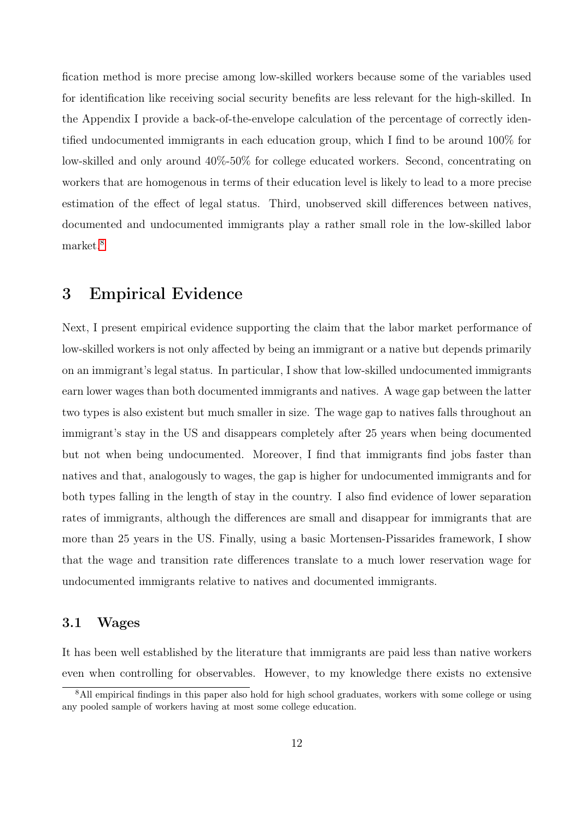fication method is more precise among low-skilled workers because some of the variables used for identification like receiving social security benefits are less relevant for the high-skilled. In the Appendix I provide a back-of-the-envelope calculation of the percentage of correctly identified undocumented immigrants in each education group, which I find to be around 100% for low-skilled and only around 40%-50% for college educated workers. Second, concentrating on workers that are homogenous in terms of their education level is likely to lead to a more precise estimation of the effect of legal status. Third, unobserved skill differences between natives, documented and undocumented immigrants play a rather small role in the low-skilled labor market.[8](#page-11-0)

# 3 Empirical Evidence

Next, I present empirical evidence supporting the claim that the labor market performance of low-skilled workers is not only affected by being an immigrant or a native but depends primarily on an immigrant's legal status. In particular, I show that low-skilled undocumented immigrants earn lower wages than both documented immigrants and natives. A wage gap between the latter two types is also existent but much smaller in size. The wage gap to natives falls throughout an immigrant's stay in the US and disappears completely after 25 years when being documented but not when being undocumented. Moreover, I find that immigrants find jobs faster than natives and that, analogously to wages, the gap is higher for undocumented immigrants and for both types falling in the length of stay in the country. I also find evidence of lower separation rates of immigrants, although the differences are small and disappear for immigrants that are more than 25 years in the US. Finally, using a basic Mortensen-Pissarides framework, I show that the wage and transition rate differences translate to a much lower reservation wage for undocumented immigrants relative to natives and documented immigrants.

### 3.1 Wages

It has been well established by the literature that immigrants are paid less than native workers even when controlling for observables. However, to my knowledge there exists no extensive

<span id="page-11-0"></span><sup>&</sup>lt;sup>8</sup>All empirical findings in this paper also hold for high school graduates, workers with some college or using any pooled sample of workers having at most some college education.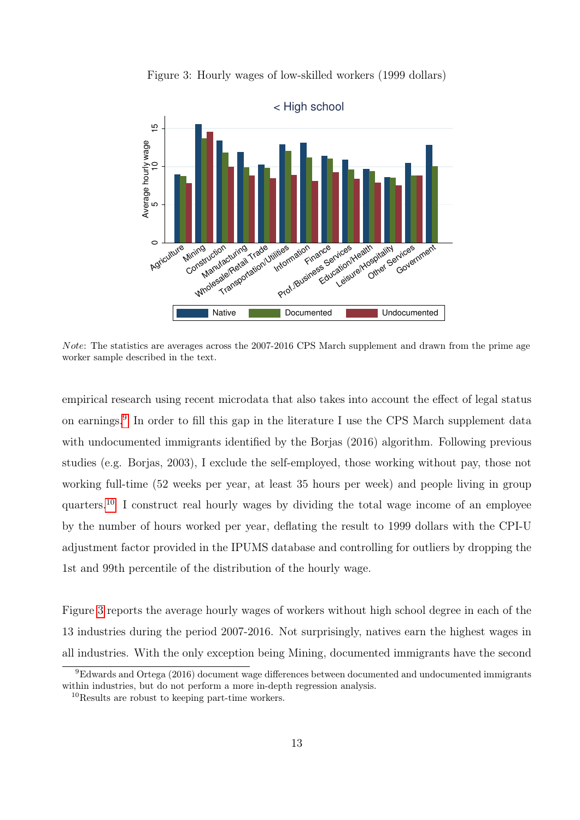<span id="page-12-2"></span>

Figure 3: Hourly wages of low-skilled workers (1999 dollars)

Note: The statistics are averages across the 2007-2016 CPS March supplement and drawn from the prime age worker sample described in the text.

empirical research using recent microdata that also takes into account the effect of legal status on earnings.<sup>[9](#page-12-0)</sup> In order to fill this gap in the literature I use the CPS March supplement data with undocumented immigrants identified by the Borjas (2016) algorithm. Following previous studies (e.g. Borjas, 2003), I exclude the self-employed, those working without pay, those not working full-time (52 weeks per year, at least 35 hours per week) and people living in group quarters.[10](#page-12-1) I construct real hourly wages by dividing the total wage income of an employee by the number of hours worked per year, deflating the result to 1999 dollars with the CPI-U adjustment factor provided in the IPUMS database and controlling for outliers by dropping the 1st and 99th percentile of the distribution of the hourly wage.

Figure [3](#page-12-2) reports the average hourly wages of workers without high school degree in each of the 13 industries during the period 2007-2016. Not surprisingly, natives earn the highest wages in all industries. With the only exception being Mining, documented immigrants have the second

<span id="page-12-0"></span><sup>9</sup>Edwards and Ortega (2016) document wage differences between documented and undocumented immigrants within industries, but do not perform a more in-depth regression analysis.

<span id="page-12-1"></span><sup>10</sup>Results are robust to keeping part-time workers.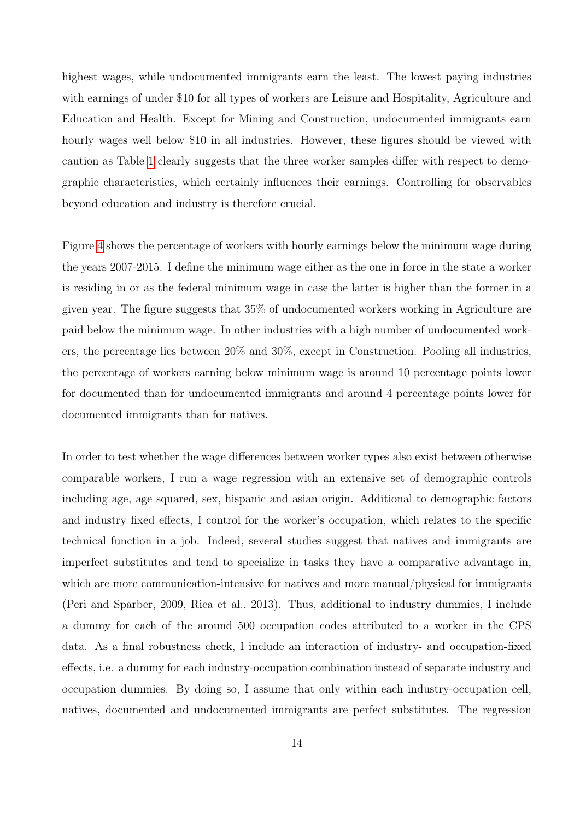highest wages, while undocumented immigrants earn the least. The lowest paying industries with earnings of under \$10 for all types of workers are Leisure and Hospitality, Agriculture and Education and Health. Except for Mining and Construction, undocumented immigrants earn hourly wages well below \$10 in all industries. However, these figures should be viewed with caution as Table [1](#page-9-0) clearly suggests that the three worker samples differ with respect to demographic characteristics, which certainly influences their earnings. Controlling for observables beyond education and industry is therefore crucial.

Figure [4](#page-14-0) shows the percentage of workers with hourly earnings below the minimum wage during the years 2007-2015. I define the minimum wage either as the one in force in the state a worker is residing in or as the federal minimum wage in case the latter is higher than the former in a given year. The figure suggests that 35% of undocumented workers working in Agriculture are paid below the minimum wage. In other industries with a high number of undocumented workers, the percentage lies between 20% and 30%, except in Construction. Pooling all industries, the percentage of workers earning below minimum wage is around 10 percentage points lower for documented than for undocumented immigrants and around 4 percentage points lower for documented immigrants than for natives.

In order to test whether the wage differences between worker types also exist between otherwise comparable workers, I run a wage regression with an extensive set of demographic controls including age, age squared, sex, hispanic and asian origin. Additional to demographic factors and industry fixed effects, I control for the worker's occupation, which relates to the specific technical function in a job. Indeed, several studies suggest that natives and immigrants are imperfect substitutes and tend to specialize in tasks they have a comparative advantage in, which are more communication-intensive for natives and more manual/physical for immigrants (Peri and Sparber, 2009, Rica et al., 2013). Thus, additional to industry dummies, I include a dummy for each of the around 500 occupation codes attributed to a worker in the CPS data. As a final robustness check, I include an interaction of industry- and occupation-fixed effects, i.e. a dummy for each industry-occupation combination instead of separate industry and occupation dummies. By doing so, I assume that only within each industry-occupation cell, natives, documented and undocumented immigrants are perfect substitutes. The regression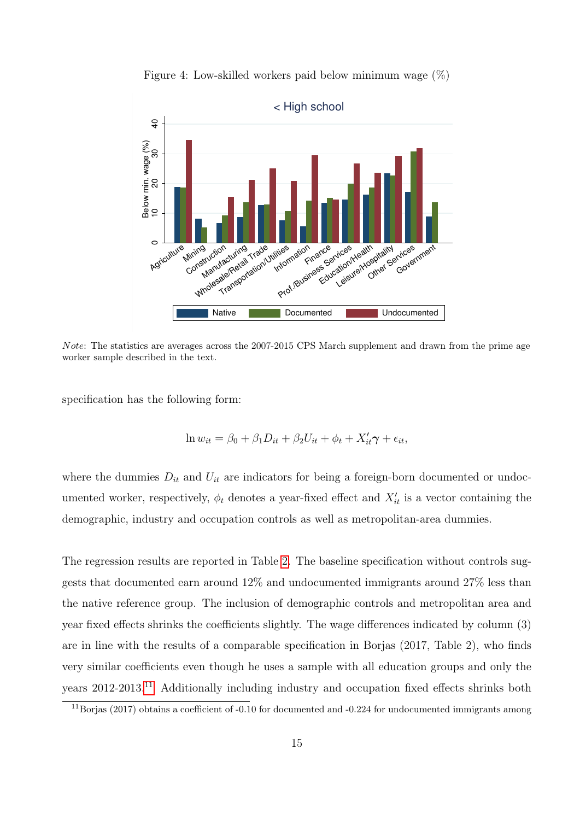<span id="page-14-0"></span>

Figure 4: Low-skilled workers paid below minimum wage  $(\%)$ 

Note: The statistics are averages across the 2007-2015 CPS March supplement and drawn from the prime age worker sample described in the text.

specification has the following form:

$$
\ln w_{it} = \beta_0 + \beta_1 D_{it} + \beta_2 U_{it} + \phi_t + X'_{it}\gamma + \epsilon_{it},
$$

where the dummies  $D_{it}$  and  $U_{it}$  are indicators for being a foreign-born documented or undocumented worker, respectively,  $\phi_t$  denotes a year-fixed effect and  $X'_{it}$  is a vector containing the demographic, industry and occupation controls as well as metropolitan-area dummies.

The regression results are reported in Table [2.](#page-15-0) The baseline specification without controls suggests that documented earn around 12% and undocumented immigrants around 27% less than the native reference group. The inclusion of demographic controls and metropolitan area and year fixed effects shrinks the coefficients slightly. The wage differences indicated by column (3) are in line with the results of a comparable specification in Borjas (2017, Table 2), who finds very similar coefficients even though he uses a sample with all education groups and only the years 2012-2013.[11](#page-14-1) Additionally including industry and occupation fixed effects shrinks both

<span id="page-14-1"></span><sup>&</sup>lt;sup>11</sup>Borjas (2017) obtains a coefficient of -0.10 for documented and -0.224 for undocumented immigrants among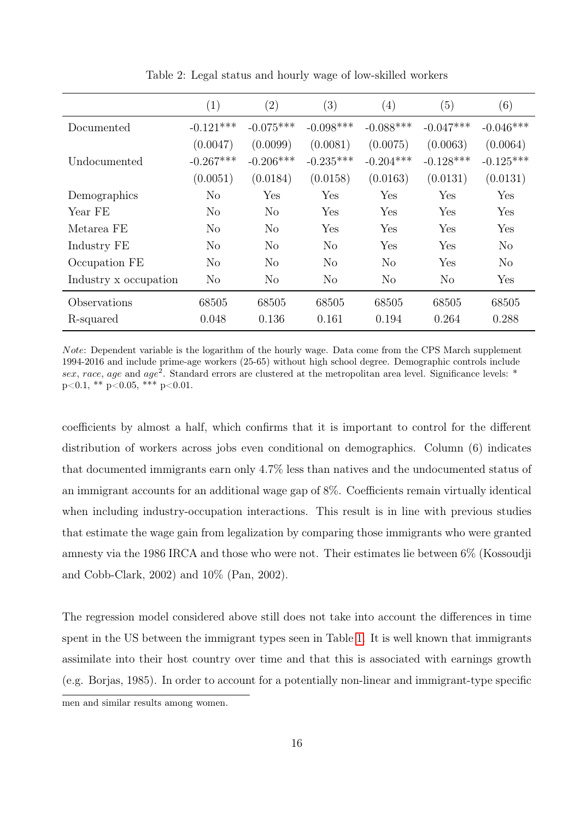<span id="page-15-0"></span>

|                       | (1)            | (2)            | $\left( 3\right)$ | $\left( 4\right)$ | (5)            | (6)            |
|-----------------------|----------------|----------------|-------------------|-------------------|----------------|----------------|
| Documented            | $-0.121***$    | $-0.075***$    | $-0.098***$       | $-0.088***$       | $-0.047***$    | $-0.046***$    |
|                       | (0.0047)       | (0.0099)       | (0.0081)          | (0.0075)          | (0.0063)       | (0.0064)       |
| Undocumented          | $-0.267***$    | $-0.206***$    | $-0.235***$       | $-0.204***$       | $-0.128***$    | $-0.125***$    |
|                       | (0.0051)       | (0.0184)       | (0.0158)          | (0.0163)          | (0.0131)       | (0.0131)       |
| Demographics          | No             | Yes            | Yes               | Yes               | Yes            | Yes            |
| Year FE               | N <sub>o</sub> | No             | Yes               | Yes               | Yes            | Yes            |
| Metarea FE            | N <sub>o</sub> | N <sub>o</sub> | Yes               | Yes               | Yes            | Yes            |
| Industry FE           | No             | No             | N <sub>o</sub>    | Yes               | Yes            | No             |
| Occupation FE         | N <sub>o</sub> | N <sub>o</sub> | $\rm No$          | N <sub>o</sub>    | Yes            | N <sub>o</sub> |
| Industry x occupation | N <sub>o</sub> | N <sub>o</sub> | N <sub>o</sub>    | N <sub>o</sub>    | N <sub>o</sub> | Yes            |
| Observations          | 68505          | 68505          | 68505             | 68505             | 68505          | 68505          |
| R-squared             | 0.048          | 0.136          | 0.161             | 0.194             | 0.264          | 0.288          |

Table 2: Legal status and hourly wage of low-skilled workers

Note: Dependent variable is the logarithm of the hourly wage. Data come from the CPS March supplement 1994-2016 and include prime-age workers (25-65) without high school degree. Demographic controls include sex, race, age and age<sup>2</sup>. Standard errors are clustered at the metropolitan area level. Significance levels: \*  $p<0.1$ , \*\*  $p<0.05$ , \*\*\*  $p<0.01$ .

coefficients by almost a half, which confirms that it is important to control for the different distribution of workers across jobs even conditional on demographics. Column (6) indicates that documented immigrants earn only 4.7% less than natives and the undocumented status of an immigrant accounts for an additional wage gap of 8%. Coefficients remain virtually identical when including industry-occupation interactions. This result is in line with previous studies that estimate the wage gain from legalization by comparing those immigrants who were granted amnesty via the 1986 IRCA and those who were not. Their estimates lie between 6% (Kossoudji and Cobb-Clark, 2002) and 10% (Pan, 2002).

The regression model considered above still does not take into account the differences in time spent in the US between the immigrant types seen in Table [1.](#page-9-0) It is well known that immigrants assimilate into their host country over time and that this is associated with earnings growth (e.g. Borjas, 1985). In order to account for a potentially non-linear and immigrant-type specific

men and similar results among women.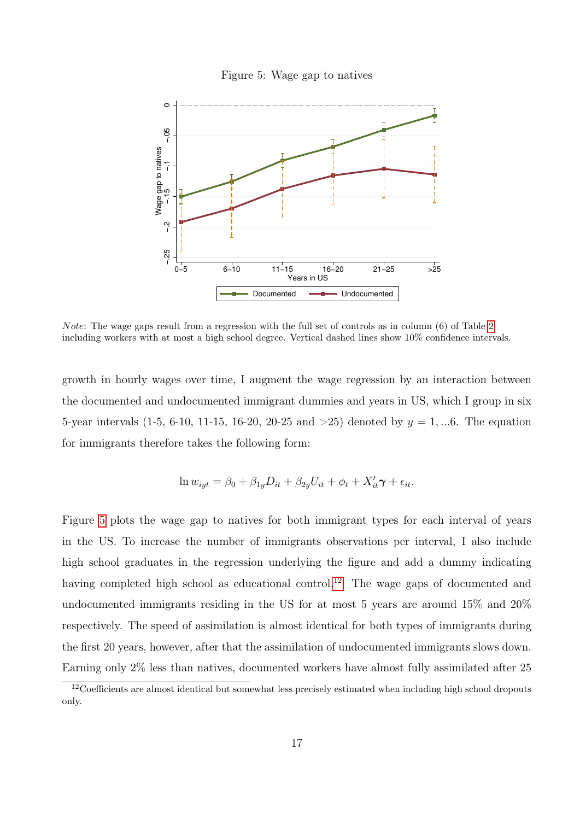<span id="page-16-0"></span>

Figure 5: Wage gap to natives

Note: The wage gaps result from a regression with the full set of controls as in column (6) of Table [2](#page-15-0) including workers with at most a high school degree. Vertical dashed lines show 10% confidence intervals.

growth in hourly wages over time, I augment the wage regression by an interaction between the documented and undocumented immigrant dummies and years in US, which I group in six 5-year intervals (1-5, 6-10, 11-15, 16-20, 20-25 and  $>25$ ) denoted by  $y = 1, ... 6$ . The equation for immigrants therefore takes the following form:

$$
\ln w_{iyt} = \beta_0 + \beta_{1y}D_{it} + \beta_{2y}U_{it} + \phi_t + X'_{it}\gamma + \epsilon_{it}.
$$

Figure [5](#page-16-0) plots the wage gap to natives for both immigrant types for each interval of years in the US. To increase the number of immigrants observations per interval, I also include high school graduates in the regression underlying the figure and add a dummy indicating having completed high school as educational control.<sup>[12](#page-16-1)</sup> The wage gaps of documented and undocumented immigrants residing in the US for at most 5 years are around 15% and 20% respectively. The speed of assimilation is almost identical for both types of immigrants during the first 20 years, however, after that the assimilation of undocumented immigrants slows down. Earning only 2% less than natives, documented workers have almost fully assimilated after 25

<span id="page-16-1"></span><sup>&</sup>lt;sup>12</sup>Coefficients are almost identical but somewhat less precisely estimated when including high school dropouts only.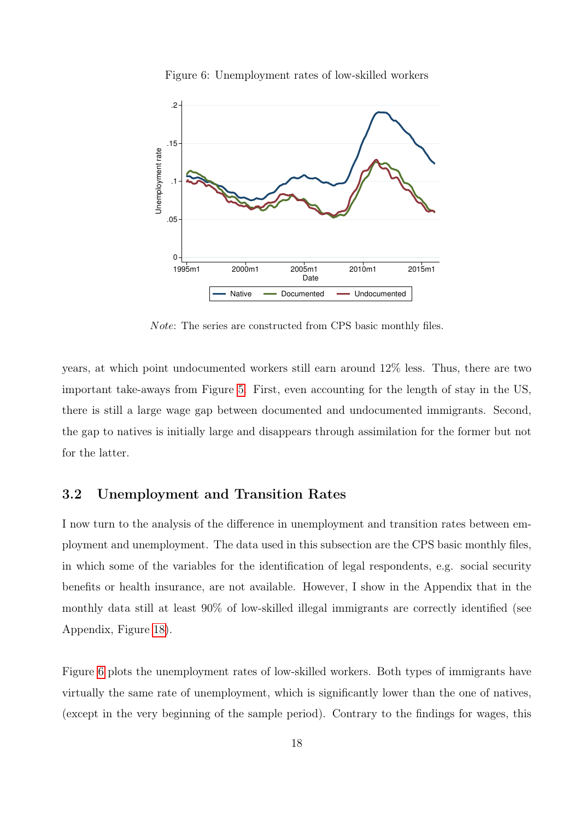<span id="page-17-0"></span>

Figure 6: Unemployment rates of low-skilled workers

Note: The series are constructed from CPS basic monthly files.

years, at which point undocumented workers still earn around 12% less. Thus, there are two important take-aways from Figure [5.](#page-16-0) First, even accounting for the length of stay in the US, there is still a large wage gap between documented and undocumented immigrants. Second, the gap to natives is initially large and disappears through assimilation for the former but not for the latter.

### 3.2 Unemployment and Transition Rates

I now turn to the analysis of the difference in unemployment and transition rates between employment and unemployment. The data used in this subsection are the CPS basic monthly files, in which some of the variables for the identification of legal respondents, e.g. social security benefits or health insurance, are not available. However, I show in the Appendix that in the monthly data still at least 90% of low-skilled illegal immigrants are correctly identified (see Appendix, Figure [18\)](#page-53-0).

Figure [6](#page-17-0) plots the unemployment rates of low-skilled workers. Both types of immigrants have virtually the same rate of unemployment, which is significantly lower than the one of natives, (except in the very beginning of the sample period). Contrary to the findings for wages, this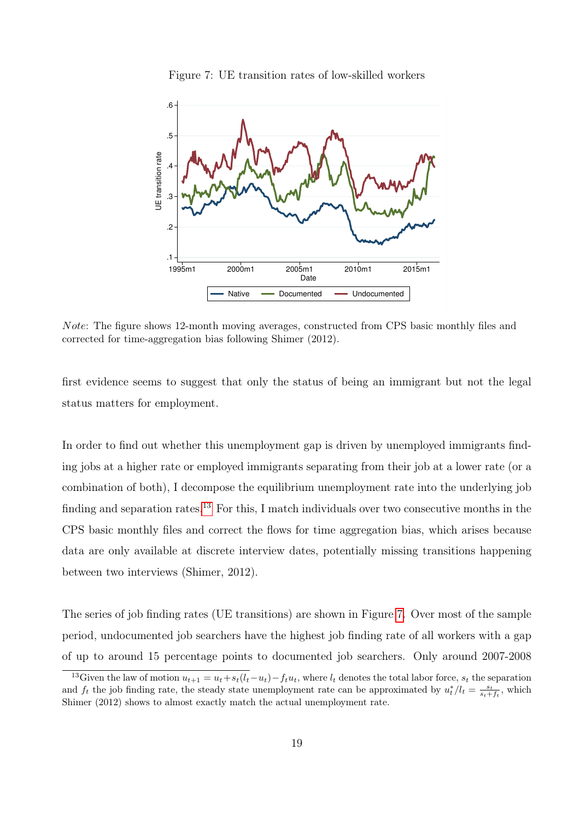<span id="page-18-1"></span>

Figure 7: UE transition rates of low-skilled workers

Note: The figure shows 12-month moving averages, constructed from CPS basic monthly files and corrected for time-aggregation bias following Shimer (2012).

first evidence seems to suggest that only the status of being an immigrant but not the legal status matters for employment.

In order to find out whether this unemployment gap is driven by unemployed immigrants finding jobs at a higher rate or employed immigrants separating from their job at a lower rate (or a combination of both), I decompose the equilibrium unemployment rate into the underlying job finding and separation rates.<sup>[13](#page-18-0)</sup> For this, I match individuals over two consecutive months in the CPS basic monthly files and correct the flows for time aggregation bias, which arises because data are only available at discrete interview dates, potentially missing transitions happening between two interviews (Shimer, 2012).

The series of job finding rates (UE transitions) are shown in Figure [7.](#page-18-1) Over most of the sample period, undocumented job searchers have the highest job finding rate of all workers with a gap of up to around 15 percentage points to documented job searchers. Only around 2007-2008

<span id="page-18-0"></span><sup>&</sup>lt;sup>13</sup>Given the law of motion  $u_{t+1} = u_t + s_t(l_t - u_t) - f_t u_t$ , where  $l_t$  denotes the total labor force,  $s_t$  the separation and  $f_t$  the job finding rate, the steady state unemployment rate can be approximated by  $u_t^*/l_t = \frac{s_t}{s_t+f_t}$ , which Shimer (2012) shows to almost exactly match the actual unemployment rate.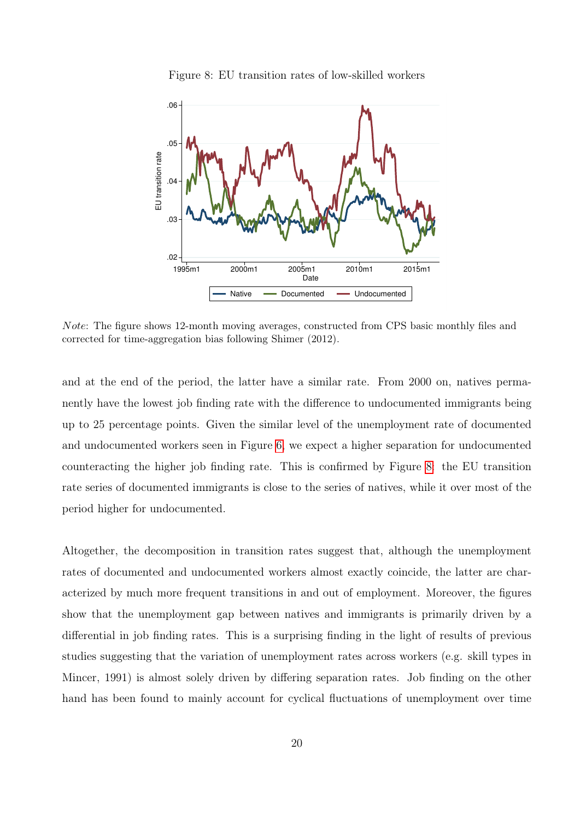<span id="page-19-0"></span>

Figure 8: EU transition rates of low-skilled workers

Note: The figure shows 12-month moving averages, constructed from CPS basic monthly files and corrected for time-aggregation bias following Shimer (2012).

and at the end of the period, the latter have a similar rate. From 2000 on, natives permanently have the lowest job finding rate with the difference to undocumented immigrants being up to 25 percentage points. Given the similar level of the unemployment rate of documented and undocumented workers seen in Figure [6,](#page-17-0) we expect a higher separation for undocumented counteracting the higher job finding rate. This is confirmed by Figure [8:](#page-19-0) the EU transition rate series of documented immigrants is close to the series of natives, while it over most of the period higher for undocumented.

Altogether, the decomposition in transition rates suggest that, although the unemployment rates of documented and undocumented workers almost exactly coincide, the latter are characterized by much more frequent transitions in and out of employment. Moreover, the figures show that the unemployment gap between natives and immigrants is primarily driven by a differential in job finding rates. This is a surprising finding in the light of results of previous studies suggesting that the variation of unemployment rates across workers (e.g. skill types in Mincer, 1991) is almost solely driven by differing separation rates. Job finding on the other hand has been found to mainly account for cyclical fluctuations of unemployment over time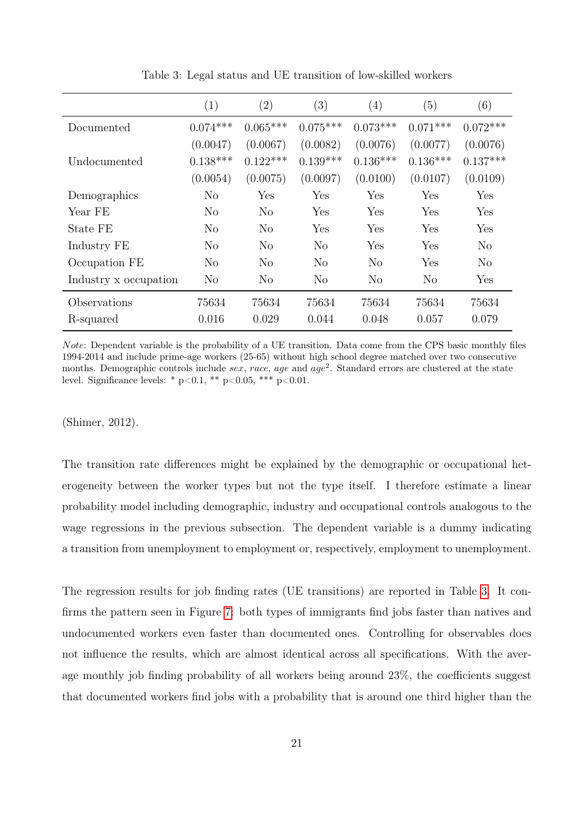<span id="page-20-0"></span>

|                       | $\left( 1\right)$ | $\left( 2\right)$ | (3)            | $\left( 4\right)$ | (5)        | (6)        |
|-----------------------|-------------------|-------------------|----------------|-------------------|------------|------------|
| Documented            | $0.074***$        | $0.065***$        | $0.075***$     | $0.073***$        | $0.071***$ | $0.072***$ |
|                       | (0.0047)          | (0.0067)          | (0.0082)       | (0.0076)          | (0.0077)   | (0.0076)   |
| Undocumented          | $0.138***$        | $0.122***$        | $0.139***$     | $0.136***$        | $0.136***$ | $0.137***$ |
|                       | (0.0054)          | (0.0075)          | (0.0097)       | (0.0100)          | (0.0107)   | (0.0109)   |
| Demographics          | No                | Yes               | Yes            | Yes               | Yes        | Yes        |
| Year FE               | No                | N <sub>o</sub>    | Yes            | Yes               | Yes        | Yes        |
| State FE              | N <sub>o</sub>    | N <sub>o</sub>    | Yes            | Yes               | Yes        | Yes        |
| Industry FE           | N <sub>o</sub>    | N <sub>o</sub>    | N <sub>o</sub> | Yes               | Yes        | No         |
| Occupation FE         | N <sub>o</sub>    | No                | No             | $\rm No$          | Yes        | No         |
| Industry x occupation | N <sub>o</sub>    | $\rm No$          | N <sub>o</sub> | N <sub>o</sub>    | No         | Yes        |
| Observations          | 75634             | 75634             | 75634          | 75634             | 75634      | 75634      |
| R-squared             | 0.016             | 0.029             | 0.044          | 0.048             | 0.057      | 0.079      |

Table 3: Legal status and UE transition of low-skilled workers

Note: Dependent variable is the probability of a UE transition. Data come from the CPS basic monthly files 1994-2014 and include prime-age workers (25-65) without high school degree matched over two consecutive months. Demographic controls include sex, race, age and  $age^2$ . Standard errors are clustered at the state level. Significance levels: \*  $p<0.1$ , \*\*  $p<0.05$ , \*\*\*  $p<0.01$ .

(Shimer, 2012).

The transition rate differences might be explained by the demographic or occupational heterogeneity between the worker types but not the type itself. I therefore estimate a linear probability model including demographic, industry and occupational controls analogous to the wage regressions in the previous subsection. The dependent variable is a dummy indicating a transition from unemployment to employment or, respectively, employment to unemployment.

The regression results for job finding rates (UE transitions) are reported in Table [3.](#page-20-0) It confirms the pattern seen in Figure [7:](#page-18-1) both types of immigrants find jobs faster than natives and undocumented workers even faster than documented ones. Controlling for observables does not influence the results, which are almost identical across all specifications. With the average monthly job finding probability of all workers being around 23%, the coefficients suggest that documented workers find jobs with a probability that is around one third higher than the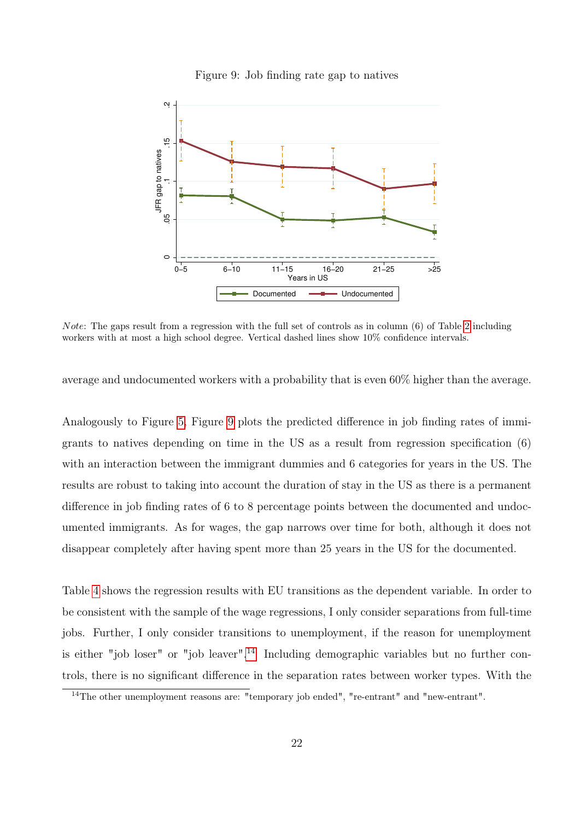<span id="page-21-0"></span>

Figure 9: Job finding rate gap to natives

Note: The gaps result from a regression with the full set of controls as in column (6) of Table [2](#page-15-0) including workers with at most a high school degree. Vertical dashed lines show 10% confidence intervals.

average and undocumented workers with a probability that is even 60% higher than the average.

Analogously to Figure [5,](#page-16-0) Figure [9](#page-21-0) plots the predicted difference in job finding rates of immigrants to natives depending on time in the US as a result from regression specification (6) with an interaction between the immigrant dummies and 6 categories for years in the US. The results are robust to taking into account the duration of stay in the US as there is a permanent difference in job finding rates of 6 to 8 percentage points between the documented and undocumented immigrants. As for wages, the gap narrows over time for both, although it does not disappear completely after having spent more than 25 years in the US for the documented.

Table [4](#page-22-0) shows the regression results with EU transitions as the dependent variable. In order to be consistent with the sample of the wage regressions, I only consider separations from full-time jobs. Further, I only consider transitions to unemployment, if the reason for unemployment is either "job loser" or "job leaver".<sup>[14](#page-21-1)</sup> Including demographic variables but no further controls, there is no significant difference in the separation rates between worker types. With the

<span id="page-21-1"></span><sup>14</sup>The other unemployment reasons are: "temporary job ended", "re-entrant" and "new-entrant".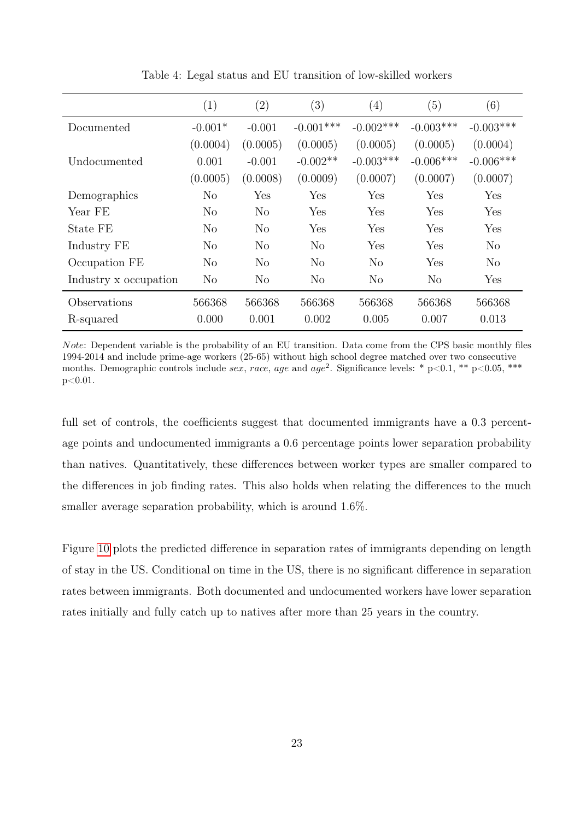<span id="page-22-0"></span>

|                       | (1)            | $\left( 2\right)$ | (3)            | $\left( 4\right)$ | (5)            | (6)         |
|-----------------------|----------------|-------------------|----------------|-------------------|----------------|-------------|
| Documented            | $-0.001*$      | $-0.001$          | $-0.001***$    | $-0.002***$       | $-0.003***$    | $-0.003***$ |
|                       | (0.0004)       | (0.0005)          | (0.0005)       | (0.0005)          | (0.0005)       | (0.0004)    |
| Undocumented          | 0.001          | $-0.001$          | $-0.002**$     | $-0.003***$       | $-0.006***$    | $-0.006***$ |
|                       | (0.0005)       | (0.0008)          | (0.0009)       | (0.0007)          | (0.0007)       | (0.0007)    |
| Demographics          | No             | Yes               | Yes            | Yes               | Yes            | Yes         |
| Year FE               | $\rm No$       | N <sub>o</sub>    | Yes            | Yes               | Yes            | Yes         |
| State FE              | No             | N <sub>o</sub>    | Yes            | Yes               | Yes            | Yes         |
| Industry FE           | No             | N <sub>o</sub>    | N <sub>o</sub> | Yes               | Yes            | $\rm No$    |
| Occupation FE         | $\rm No$       | $\rm No$          | $\rm No$       | No                | Yes            | No          |
| Industry x occupation | N <sub>o</sub> | $\rm No$          | N <sub>o</sub> | N <sub>o</sub>    | N <sub>o</sub> | Yes         |
| Observations          | 566368         | 566368            | 566368         | 566368            | 566368         | 566368      |
| R-squared             | 0.000          | 0.001             | 0.002          | 0.005             | 0.007          | 0.013       |

Table 4: Legal status and EU transition of low-skilled workers

Note: Dependent variable is the probability of an EU transition. Data come from the CPS basic monthly files 1994-2014 and include prime-age workers (25-65) without high school degree matched over two consecutive months. Demographic controls include sex, race, age and age<sup>2</sup>. Significance levels: \* p<0.1, \*\* p<0.05, \*\*\* p<0.01.

full set of controls, the coefficients suggest that documented immigrants have a 0.3 percentage points and undocumented immigrants a 0.6 percentage points lower separation probability than natives. Quantitatively, these differences between worker types are smaller compared to the differences in job finding rates. This also holds when relating the differences to the much smaller average separation probability, which is around 1.6%.

Figure [10](#page-23-0) plots the predicted difference in separation rates of immigrants depending on length of stay in the US. Conditional on time in the US, there is no significant difference in separation rates between immigrants. Both documented and undocumented workers have lower separation rates initially and fully catch up to natives after more than 25 years in the country.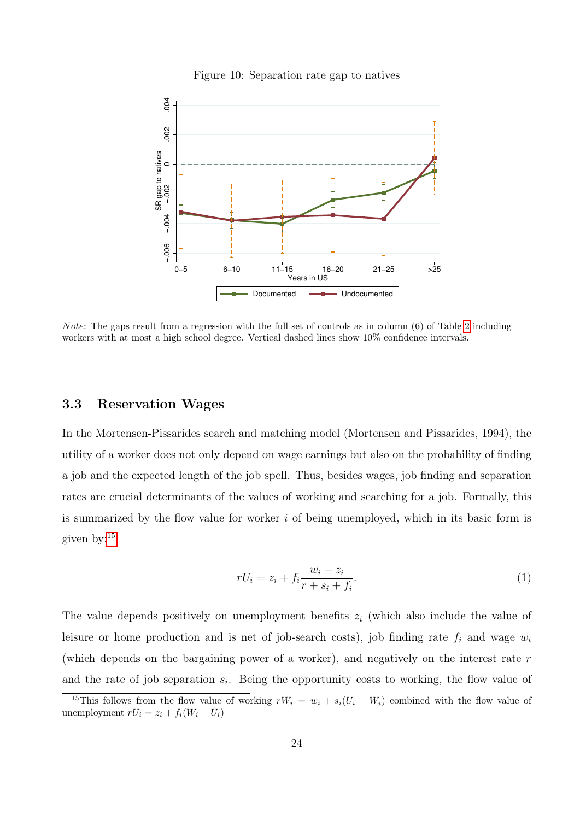<span id="page-23-0"></span>

#### Figure 10: Separation rate gap to natives

Note: The gaps result from a regression with the full set of controls as in column (6) of Table [2](#page-15-0) including workers with at most a high school degree. Vertical dashed lines show 10% confidence intervals.

#### 3.3 Reservation Wages

In the Mortensen-Pissarides search and matching model (Mortensen and Pissarides, 1994), the utility of a worker does not only depend on wage earnings but also on the probability of finding a job and the expected length of the job spell. Thus, besides wages, job finding and separation rates are crucial determinants of the values of working and searching for a job. Formally, this is summarized by the flow value for worker  $i$  of being unemployed, which in its basic form is given by:[15](#page-23-1)

$$
rU_i = z_i + f_i \frac{w_i - z_i}{r + s_i + f_i}.\tag{1}
$$

The value depends positively on unemployment benefits  $z_i$  (which also include the value of leisure or home production and is net of job-search costs), job finding rate  $f_i$  and wage  $w_i$ (which depends on the bargaining power of a worker), and negatively on the interest rate r and the rate of job separation  $s_i$ . Being the opportunity costs to working, the flow value of

<span id="page-23-1"></span><sup>&</sup>lt;sup>15</sup>This follows from the flow value of working  $rW_i = w_i + s_i(U_i - W_i)$  combined with the flow value of unemployment  $rU_i = z_i + f_i(W_i - U_i)$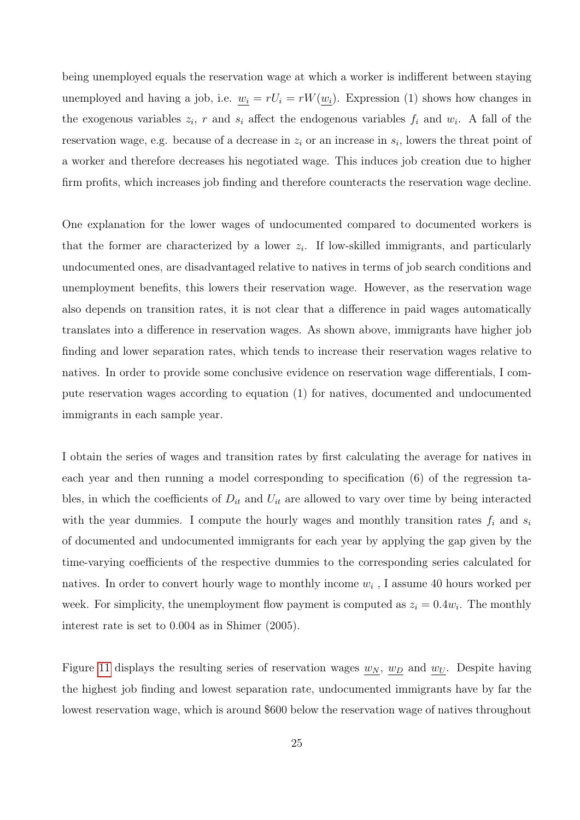being unemployed equals the reservation wage at which a worker is indifferent between staying unemployed and having a job, i.e.  $w_i = rU_i = rW(w_i)$ . Expression (1) shows how changes in the exogenous variables  $z_i$ , r and  $s_i$  affect the endogenous variables  $f_i$  and  $w_i$ . A fall of the reservation wage, e.g. because of a decrease in  $z_i$  or an increase in  $s_i$ , lowers the threat point of a worker and therefore decreases his negotiated wage. This induces job creation due to higher firm profits, which increases job finding and therefore counteracts the reservation wage decline.

One explanation for the lower wages of undocumented compared to documented workers is that the former are characterized by a lower  $z_i$ . If low-skilled immigrants, and particularly undocumented ones, are disadvantaged relative to natives in terms of job search conditions and unemployment benefits, this lowers their reservation wage. However, as the reservation wage also depends on transition rates, it is not clear that a difference in paid wages automatically translates into a difference in reservation wages. As shown above, immigrants have higher job finding and lower separation rates, which tends to increase their reservation wages relative to natives. In order to provide some conclusive evidence on reservation wage differentials, I compute reservation wages according to equation (1) for natives, documented and undocumented immigrants in each sample year.

I obtain the series of wages and transition rates by first calculating the average for natives in each year and then running a model corresponding to specification (6) of the regression tables, in which the coefficients of  $D_{it}$  and  $U_{it}$  are allowed to vary over time by being interacted with the year dummies. I compute the hourly wages and monthly transition rates  $f_i$  and  $s_i$ of documented and undocumented immigrants for each year by applying the gap given by the time-varying coefficients of the respective dummies to the corresponding series calculated for natives. In order to convert hourly wage to monthly income  $w_i$ , I assume 40 hours worked per week. For simplicity, the unemployment flow payment is computed as  $z_i = 0.4w_i$ . The monthly interest rate is set to 0.004 as in Shimer (2005).

Figure [11](#page-25-0) displays the resulting series of reservation wages  $w_N$ ,  $w_D$  and  $w_U$ . Despite having the highest job finding and lowest separation rate, undocumented immigrants have by far the lowest reservation wage, which is around \$600 below the reservation wage of natives throughout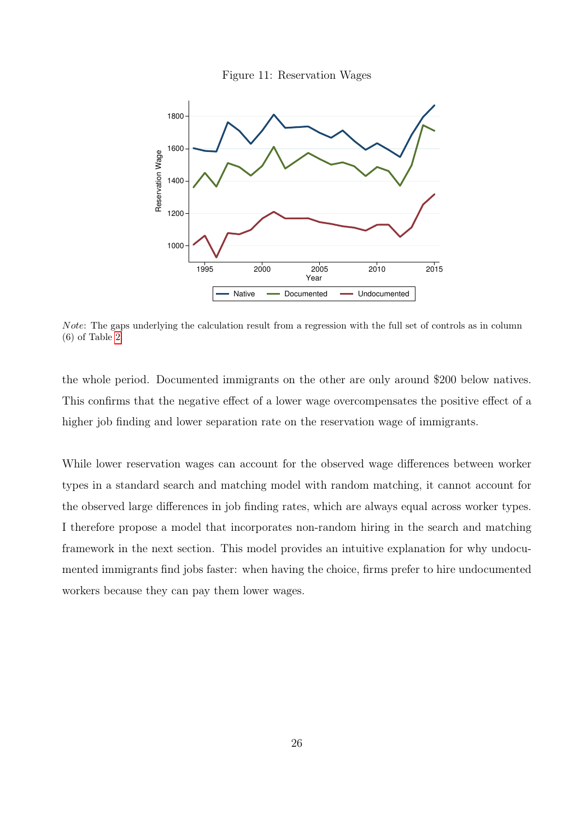

<span id="page-25-0"></span>

Note: The gaps underlying the calculation result from a regression with the full set of controls as in column (6) of Table [2.](#page-15-0)

the whole period. Documented immigrants on the other are only around \$200 below natives. This confirms that the negative effect of a lower wage overcompensates the positive effect of a higher job finding and lower separation rate on the reservation wage of immigrants.

While lower reservation wages can account for the observed wage differences between worker types in a standard search and matching model with random matching, it cannot account for the observed large differences in job finding rates, which are always equal across worker types. I therefore propose a model that incorporates non-random hiring in the search and matching framework in the next section. This model provides an intuitive explanation for why undocumented immigrants find jobs faster: when having the choice, firms prefer to hire undocumented workers because they can pay them lower wages.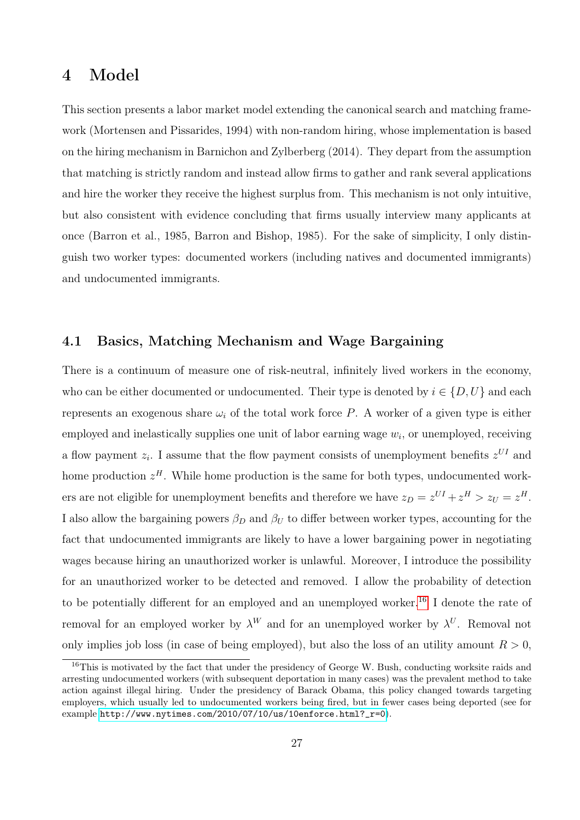# 4 Model

This section presents a labor market model extending the canonical search and matching framework (Mortensen and Pissarides, 1994) with non-random hiring, whose implementation is based on the hiring mechanism in Barnichon and Zylberberg (2014). They depart from the assumption that matching is strictly random and instead allow firms to gather and rank several applications and hire the worker they receive the highest surplus from. This mechanism is not only intuitive, but also consistent with evidence concluding that firms usually interview many applicants at once (Barron et al., 1985, Barron and Bishop, 1985). For the sake of simplicity, I only distinguish two worker types: documented workers (including natives and documented immigrants) and undocumented immigrants.

### 4.1 Basics, Matching Mechanism and Wage Bargaining

There is a continuum of measure one of risk-neutral, infinitely lived workers in the economy, who can be either documented or undocumented. Their type is denoted by  $i \in \{D, U\}$  and each represents an exogenous share  $\omega_i$  of the total work force P. A worker of a given type is either employed and inelastically supplies one unit of labor earning wage  $w_i$ , or unemployed, receiving a flow payment  $z_i$ . I assume that the flow payment consists of unemployment benefits  $z^{UI}$  and home production  $z<sup>H</sup>$ . While home production is the same for both types, undocumented workers are not eligible for unemployment benefits and therefore we have  $z_D = z^{UI} + z^H > z_U = z^H$ . I also allow the bargaining powers  $\beta_D$  and  $\beta_U$  to differ between worker types, accounting for the fact that undocumented immigrants are likely to have a lower bargaining power in negotiating wages because hiring an unauthorized worker is unlawful. Moreover, I introduce the possibility for an unauthorized worker to be detected and removed. I allow the probability of detection to be potentially different for an employed and an unemployed worker.<sup>[16](#page-26-0)</sup> I denote the rate of removal for an employed worker by  $\lambda^W$  and for an unemployed worker by  $\lambda^U$ . Removal not only implies job loss (in case of being employed), but also the loss of an utility amount  $R > 0$ .

<span id="page-26-0"></span><sup>&</sup>lt;sup>16</sup>This is motivated by the fact that under the presidency of George W. Bush, conducting worksite raids and arresting undocumented workers (with subsequent deportation in many cases) was the prevalent method to take action against illegal hiring. Under the presidency of Barack Obama, this policy changed towards targeting employers, which usually led to undocumented workers being fired, but in fewer cases being deported (see for example [http://www.nytimes.com/2010/07/10/us/10enforce.html?\\_r=0](http://www.nytimes.com/2010/07/10/us/10enforce.html?_r=0)).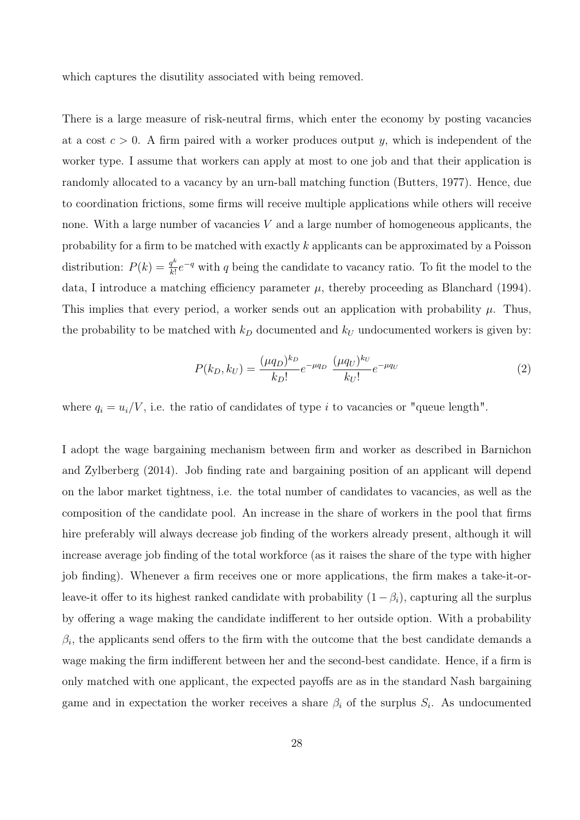which captures the disutility associated with being removed.

There is a large measure of risk-neutral firms, which enter the economy by posting vacancies at a cost  $c > 0$ . A firm paired with a worker produces output y, which is independent of the worker type. I assume that workers can apply at most to one job and that their application is randomly allocated to a vacancy by an urn-ball matching function (Butters, 1977). Hence, due to coordination frictions, some firms will receive multiple applications while others will receive none. With a large number of vacancies  $V$  and a large number of homogeneous applicants, the probability for a firm to be matched with exactly k applicants can be approximated by a Poisson distribution:  $P(k) = \frac{q^k}{k!}$  $\frac{q^k}{k!}e^{-q}$  with q being the candidate to vacancy ratio. To fit the model to the data, I introduce a matching efficiency parameter  $\mu$ , thereby proceeding as Blanchard (1994). This implies that every period, a worker sends out an application with probability  $\mu$ . Thus, the probability to be matched with  $k_D$  documented and  $k_U$  undocumented workers is given by:

$$
P(k_D, k_U) = \frac{(\mu q_D)^{k_D}}{k_D!} e^{-\mu q_D} \frac{(\mu q_U)^{k_U}}{k_U!} e^{-\mu q_U}
$$
\n(2)

where  $q_i = u_i/V$ , i.e. the ratio of candidates of type i to vacancies or "queue length".

I adopt the wage bargaining mechanism between firm and worker as described in Barnichon and Zylberberg (2014). Job finding rate and bargaining position of an applicant will depend on the labor market tightness, i.e. the total number of candidates to vacancies, as well as the composition of the candidate pool. An increase in the share of workers in the pool that firms hire preferably will always decrease job finding of the workers already present, although it will increase average job finding of the total workforce (as it raises the share of the type with higher job finding). Whenever a firm receives one or more applications, the firm makes a take-it-orleave-it offer to its highest ranked candidate with probability  $(1 - \beta_i)$ , capturing all the surplus by offering a wage making the candidate indifferent to her outside option. With a probability  $\beta_i$ , the applicants send offers to the firm with the outcome that the best candidate demands a wage making the firm indifferent between her and the second-best candidate. Hence, if a firm is only matched with one applicant, the expected payoffs are as in the standard Nash bargaining game and in expectation the worker receives a share  $\beta_i$  of the surplus  $S_i$ . As undocumented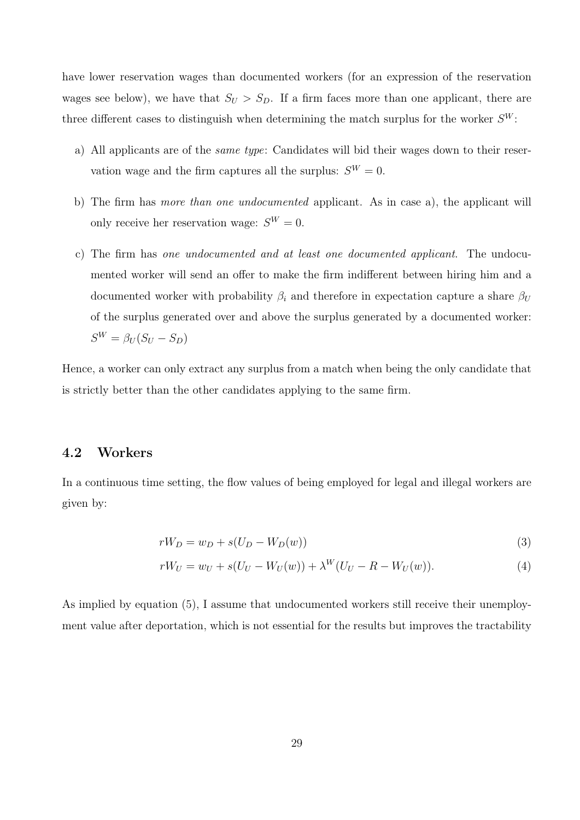have lower reservation wages than documented workers (for an expression of the reservation wages see below), we have that  $S_U > S_D$ . If a firm faces more than one applicant, there are three different cases to distinguish when determining the match surplus for the worker  $S^W$ :

- a) All applicants are of the same type: Candidates will bid their wages down to their reservation wage and the firm captures all the surplus:  $S^W = 0$ .
- b) The firm has more than one undocumented applicant. As in case a), the applicant will only receive her reservation wage:  $S^W = 0$ .
- c) The firm has one undocumented and at least one documented applicant. The undocumented worker will send an offer to make the firm indifferent between hiring him and a documented worker with probability  $\beta_i$  and therefore in expectation capture a share  $\beta_U$ of the surplus generated over and above the surplus generated by a documented worker:  $S^W = \beta_U (S_U - S_D)$

Hence, a worker can only extract any surplus from a match when being the only candidate that is strictly better than the other candidates applying to the same firm.

### 4.2 Workers

In a continuous time setting, the flow values of being employed for legal and illegal workers are given by:

$$
rW_D = w_D + s(U_D - W_D(w))
$$
\n<sup>(3)</sup>

$$
rW_U = w_U + s(U_U - W_U(w)) + \lambda^W (U_U - R - W_U(w)).
$$
\n(4)

As implied by equation (5), I assume that undocumented workers still receive their unemployment value after deportation, which is not essential for the results but improves the tractability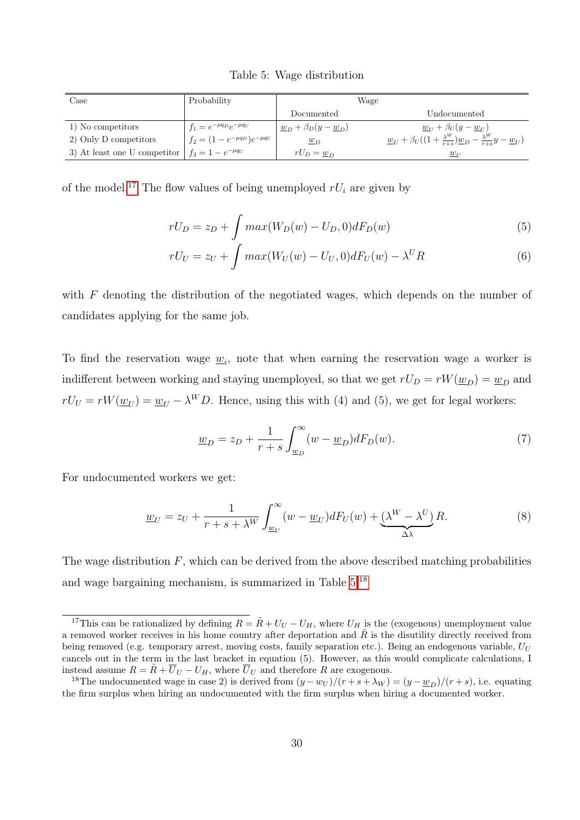<span id="page-29-1"></span>

| Case                                                   | Probability                            |                                                  | Wage                                                                                                             |
|--------------------------------------------------------|----------------------------------------|--------------------------------------------------|------------------------------------------------------------------------------------------------------------------|
|                                                        |                                        | Documented                                       | Undocumented                                                                                                     |
| 1) No competitors                                      | $f_1 = e^{-\mu q_D} e^{-\mu q_U}$      | $\underline{w}_D + \beta_D(y - \underline{w}_D)$ | $w_{1} + \beta_{U}(y - w_{1})$                                                                                   |
| 2) Only D competitors                                  | $f_2 = (1 - e^{-\mu q_D})e^{-\mu q_U}$ | $w_D$                                            | $\underline{w}_U + \beta_U((1+\frac{\lambda^W}{r+s})\underline{w}_D - \frac{\lambda^W}{r+s}y - \underline{w}_U)$ |
| 3) At least one U competitor $ f_3 = 1 - e^{-\mu q_U}$ |                                        | $rU_D = \underline{w}_D$                         | $\underline{w}_{U}$                                                                                              |

Table 5: Wage distribution

of the model.<sup>[17](#page-29-0)</sup> The flow values of being unemployed  $rU_i$  are given by

$$
rU_D = z_D + \int max(W_D(w) - U_D, 0) dF_D(w)
$$
\n<sup>(5)</sup>

$$
rU_U = z_U + \int max(W_U(w) - U_U, 0) dF_U(w) - \lambda^U R \tag{6}
$$

with  $F$  denoting the distribution of the negotiated wages, which depends on the number of candidates applying for the same job.

To find the reservation wage  $\underline{w}_i$ , note that when earning the reservation wage a worker is indifferent between working and staying unemployed, so that we get  $rU_D = rW(\underline{w}_D) = \underline{w}_D$  and  $rU_U = rW(\underline{w}_U) = \underline{w}_U - \lambda^W D$ . Hence, using this with (4) and (5), we get for legal workers:

$$
\underline{w}_D = z_D + \frac{1}{r+s} \int_{\underline{w}_D}^{\infty} (w - \underline{w}_D) dF_D(w). \tag{7}
$$

For undocumented workers we get:

$$
\underline{w}_U = z_U + \frac{1}{r + s + \lambda^W} \int_{\underline{w}_U}^{\infty} (w - \underline{w}_U) dF_U(w) + \underbrace{(\lambda^W - \lambda^U)}_{\Delta \lambda} R. \tag{8}
$$

The wage distribution  $F$ , which can be derived from the above described matching probabilities and wage bargaining mechanism, is summarized in Table [5.](#page-29-1)[18](#page-29-2)

<span id="page-29-0"></span><sup>&</sup>lt;sup>17</sup>This can be rationalized by defining  $R = \tilde{R} + U_U - U_H$ , where  $U_H$  is the (exogenous) unemployment value a removed worker receives in his home country after deportation and  $\tilde{R}$  is the disutility directly received from being removed (e.g. temporary arrest, moving costs, family separation etc.). Being an endogenous variable,  $U_U$ cancels out in the term in the last bracket in equation (5). However, as this would complicate calculations, I instead assume  $R = \tilde{R} + \overline{U}_U - U_H$ , where  $\overline{U}_U$  and therefore R are exogenous.

<span id="page-29-2"></span><sup>&</sup>lt;sup>18</sup>The undocumented wage in case 2) is derived from  $(y - w_U)/(r + s + \lambda_W) = (y - w_D)/(r + s)$ , i.e. equating the firm surplus when hiring an undocumented with the firm surplus when hiring a documented worker.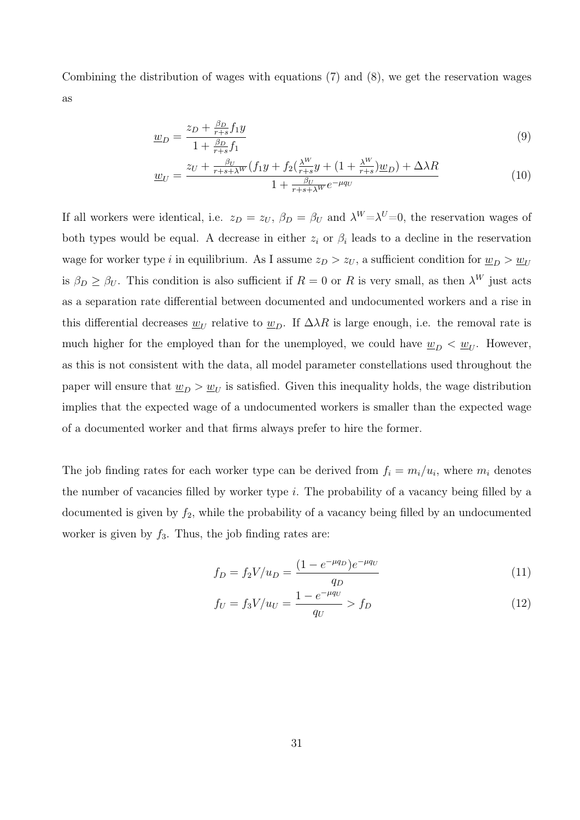Combining the distribution of wages with equations (7) and (8), we get the reservation wages as

$$
\underline{w}_D = \frac{z_D + \frac{\beta_D}{r+s} f_1 y}{1 + \frac{\beta_D}{r+s} f_1} \tag{9}
$$

$$
\underline{w}_{U} = \frac{z_{U} + \frac{\beta_{U}}{r+s+\lambda^{W}}(f_{1}y + f_{2}(\frac{\lambda^{W}}{r+s}y + (1 + \frac{\lambda^{W}}{r+s})\underline{w}_{D}) + \Delta\lambda R}{1 + \frac{\beta_{U}}{r+s+\lambda^{W}}e^{-\mu q_{U}}}
$$
(10)

If all workers were identical, i.e.  $z_D = z_U$ ,  $\beta_D = \beta_U$  and  $\lambda^W = \lambda^U = 0$ , the reservation wages of both types would be equal. A decrease in either  $z_i$  or  $\beta_i$  leads to a decline in the reservation wage for worker type i in equilibrium. As I assume  $z_D > z_U$ , a sufficient condition for  $\underline{w}_D > \underline{w}_U$ is  $\beta_D \ge \beta_U$ . This condition is also sufficient if  $R=0$  or R is very small, as then  $\lambda^W$  just acts as a separation rate differential between documented and undocumented workers and a rise in this differential decreases  $\underline{w}_U$  relative to  $\underline{w}_D$ . If  $\Delta \lambda R$  is large enough, i.e. the removal rate is much higher for the employed than for the unemployed, we could have  $\underline{w}_D < \underline{w}_U$ . However, as this is not consistent with the data, all model parameter constellations used throughout the paper will ensure that  $\underline{w}_D > \underline{w}_U$  is satisfied. Given this inequality holds, the wage distribution implies that the expected wage of a undocumented workers is smaller than the expected wage of a documented worker and that firms always prefer to hire the former.

The job finding rates for each worker type can be derived from  $f_i = m_i/u_i$ , where  $m_i$  denotes the number of vacancies filled by worker type  $i$ . The probability of a vacancy being filled by a documented is given by  $f_2$ , while the probability of a vacancy being filled by an undocumented worker is given by  $f_3$ . Thus, the job finding rates are:

$$
f_D = f_2 V / u_D = \frac{(1 - e^{-\mu q_D})e^{-\mu q_U}}{q_D} \tag{11}
$$

$$
f_U = f_3 V / u_U = \frac{1 - e^{-\mu q_U}}{q_U} > f_D \tag{12}
$$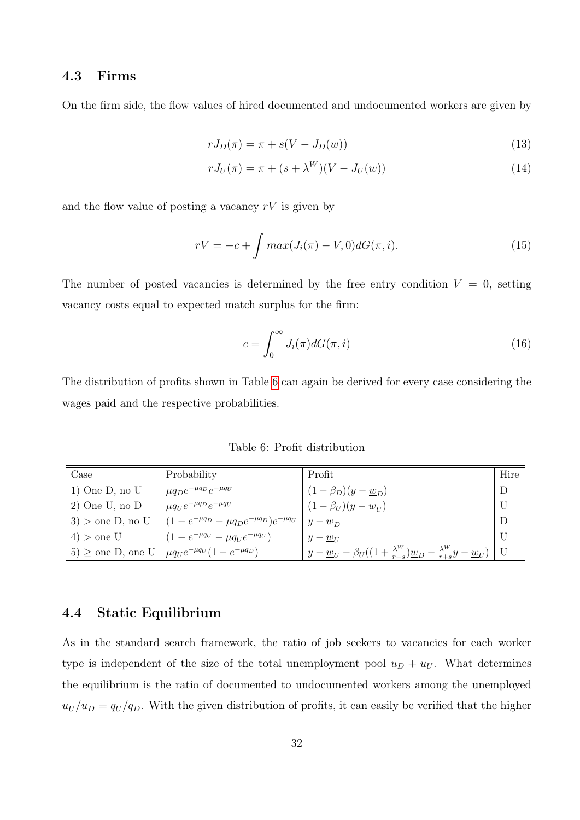### 4.3 Firms

On the firm side, the flow values of hired documented and undocumented workers are given by

$$
rJ_D(\pi) = \pi + s(V - J_D(w))\tag{13}
$$

$$
rJ_U(\pi) = \pi + (s + \lambda^W)(V - J_U(w))
$$
\n(14)

and the flow value of posting a vacancy  $rV$  is given by

$$
rV = -c + \int max(J_i(\pi) - V, 0) dG(\pi, i).
$$
 (15)

The number of posted vacancies is determined by the free entry condition  $V = 0$ , setting vacancy costs equal to expected match surplus for the firm:

$$
c = \int_0^\infty J_i(\pi) dG(\pi, i)
$$
\n(16)

The distribution of profits shown in Table [6](#page-31-0) can again be derived for every case considering the wages paid and the respective probabilities.

Table 6: Profit distribution

<span id="page-31-0"></span>

| Case                  | Probability                                                              | Profit                                                                             | Hire |
|-----------------------|--------------------------------------------------------------------------|------------------------------------------------------------------------------------|------|
| $1)$ One D, no U      | $\mu q_D e^{-\mu q_D} e^{-\mu q_U}$                                      | $(1 - \beta_D)(y - \underline{w}_D)$                                               |      |
| $2)$ One U, no D      | $\mu q_U e^{-\mu q_D} e^{-\mu q_U}$                                      | $(1 - \beta_U)(y - w_U)$                                                           |      |
|                       | 3) > one D, no U $(1 - e^{-\mu q_D} - \mu q_D e^{-\mu q_D})e^{-\mu q_U}$ | $y-w_D$                                                                            |      |
| $4)$ > one U          | $(1 - e^{-\mu q_U} - \mu q_U e^{-\mu q_U})$                              | $y-w_{II}$                                                                         |      |
| $5) \ge$ one D, one U | $\mu q_U e^{-\mu q_U} (1 - e^{-\mu q_D})$                                | $y - w_U - \beta_U((1 + \frac{\lambda^W}{r+s})w_D - \frac{\lambda^W}{r+s}y - w_U)$ |      |

### 4.4 Static Equilibrium

As in the standard search framework, the ratio of job seekers to vacancies for each worker type is independent of the size of the total unemployment pool  $u_D + u_U$ . What determines the equilibrium is the ratio of documented to undocumented workers among the unemployed  $u_U/u_D = q_U/q_D$ . With the given distribution of profits, it can easily be verified that the higher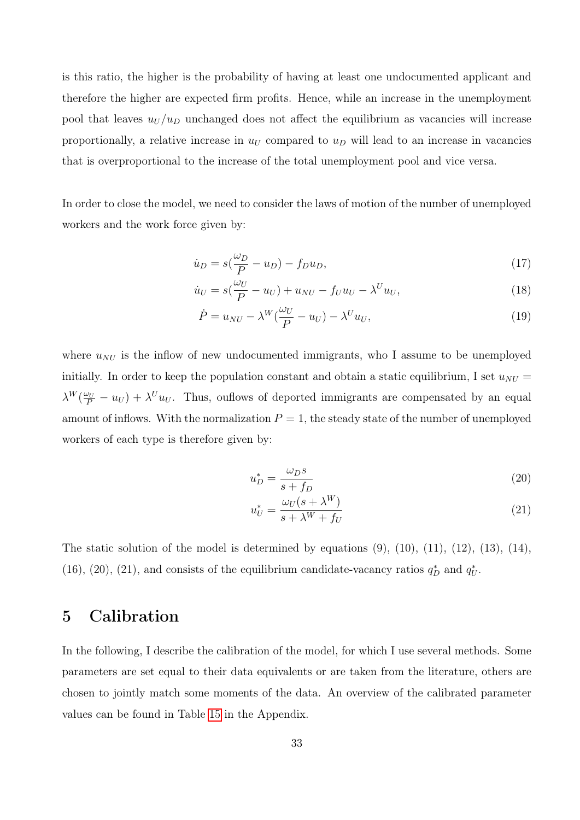is this ratio, the higher is the probability of having at least one undocumented applicant and therefore the higher are expected firm profits. Hence, while an increase in the unemployment pool that leaves  $u_U/u_D$  unchanged does not affect the equilibrium as vacancies will increase proportionally, a relative increase in  $u_U$  compared to  $u_D$  will lead to an increase in vacancies that is overproportional to the increase of the total unemployment pool and vice versa.

In order to close the model, we need to consider the laws of motion of the number of unemployed workers and the work force given by:

$$
\dot{u}_D = s(\frac{\omega_D}{P} - u_D) - f_D u_D,\tag{17}
$$

$$
\dot{u}_U = s(\frac{\omega_U}{P} - u_U) + u_{NU} - f_U u_U - \lambda^U u_U, \qquad (18)
$$

$$
\dot{P} = u_{NU} - \lambda^W(\frac{\omega_U}{P} - u_U) - \lambda^U u_U,
$$
\n(19)

where  $u_{NU}$  is the inflow of new undocumented immigrants, who I assume to be unemployed initially. In order to keep the population constant and obtain a static equilibrium, I set  $u_{NU} =$  $\lambda^W(\frac{\omega_U}{P}-u_U)+\lambda^U u_U$ . Thus, ouflows of deported immigrants are compensated by an equal amount of inflows. With the normalization  $P = 1$ , the steady state of the number of unemployed workers of each type is therefore given by:

$$
u_D^* = \frac{\omega_D s}{s + f_D} \tag{20}
$$

$$
u_U^* = \frac{\omega_U(s + \lambda^W)}{s + \lambda^W + f_U} \tag{21}
$$

The static solution of the model is determined by equations  $(9)$ ,  $(10)$ ,  $(11)$ ,  $(12)$ ,  $(13)$ ,  $(14)$ , (16), (20), (21), and consists of the equilibrium candidate-vacancy ratios  $q_D^*$  and  $q_U^*$ .

# 5 Calibration

In the following, I describe the calibration of the model, for which I use several methods. Some parameters are set equal to their data equivalents or are taken from the literature, others are chosen to jointly match some moments of the data. An overview of the calibrated parameter values can be found in Table [15](#page-57-0) in the Appendix.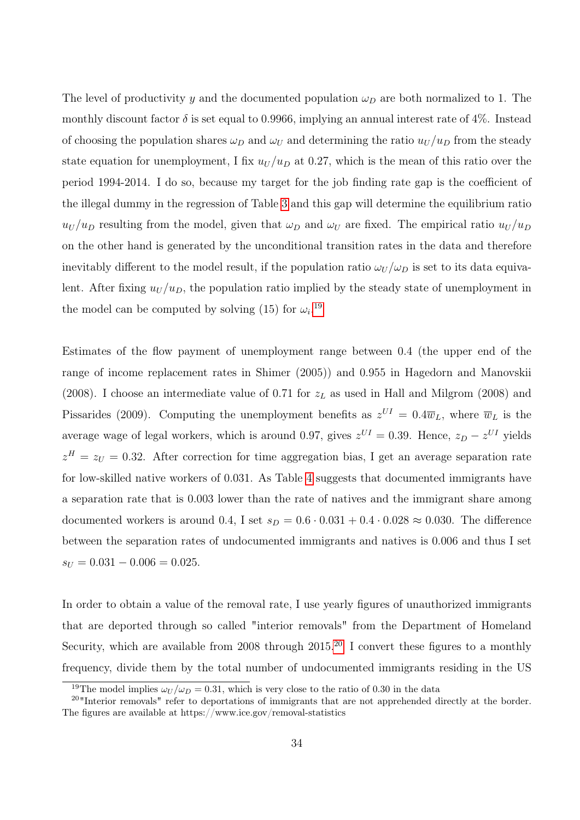The level of productivity y and the documented population  $\omega_D$  are both normalized to 1. The monthly discount factor  $\delta$  is set equal to 0.9966, implying an annual interest rate of 4%. Instead of choosing the population shares  $\omega_D$  and  $\omega_U$  and determining the ratio  $u_U/u_D$  from the steady state equation for unemployment, I fix  $u_U/u_D$  at 0.27, which is the mean of this ratio over the period 1994-2014. I do so, because my target for the job finding rate gap is the coefficient of the illegal dummy in the regression of Table [3](#page-20-0) and this gap will determine the equilibrium ratio  $u_U/u_D$  resulting from the model, given that  $\omega_D$  and  $\omega_U$  are fixed. The empirical ratio  $u_U/u_D$ on the other hand is generated by the unconditional transition rates in the data and therefore inevitably different to the model result, if the population ratio  $\omega_U/\omega_D$  is set to its data equivalent. After fixing  $u_U/u_D$ , the population ratio implied by the steady state of unemployment in the model can be computed by solving (15) for  $\omega_i$ <sup>[19](#page-33-0)</sup>

Estimates of the flow payment of unemployment range between 0.4 (the upper end of the range of income replacement rates in Shimer (2005)) and 0.955 in Hagedorn and Manovskii (2008). I choose an intermediate value of 0.71 for  $z<sub>L</sub>$  as used in Hall and Milgrom (2008) and Pissarides (2009). Computing the unemployment benefits as  $z^{UI} = 0.4\overline{w}_L$ , where  $\overline{w}_L$  is the average wage of legal workers, which is around 0.97, gives  $z^{UI} = 0.39$ . Hence,  $z_D - z^{UI}$  yields  $z<sup>H</sup> = z<sub>U</sub> = 0.32$ . After correction for time aggregation bias, I get an average separation rate for low-skilled native workers of 0.031. As Table [4](#page-22-0) suggests that documented immigrants have a separation rate that is 0.003 lower than the rate of natives and the immigrant share among documented workers is around 0.4, I set  $s_D = 0.6 \cdot 0.031 + 0.4 \cdot 0.028 \approx 0.030$ . The difference between the separation rates of undocumented immigrants and natives is 0.006 and thus I set  $s_U = 0.031 - 0.006 = 0.025.$ 

In order to obtain a value of the removal rate, I use yearly figures of unauthorized immigrants that are deported through so called "interior removals" from the Department of Homeland Security, which are available from [20](#page-33-1)08 through  $2015$ .<sup>20</sup> I convert these figures to a monthly frequency, divide them by the total number of undocumented immigrants residing in the US

<span id="page-33-1"></span><span id="page-33-0"></span><sup>&</sup>lt;sup>19</sup>The model implies  $\omega_U/\omega_D = 0.31$ , which is very close to the ratio of 0.30 in the data

<sup>&</sup>lt;sup>20</sup>"Interior removals" refer to deportations of immigrants that are not apprehended directly at the border. The figures are available at https://www.ice.gov/removal-statistics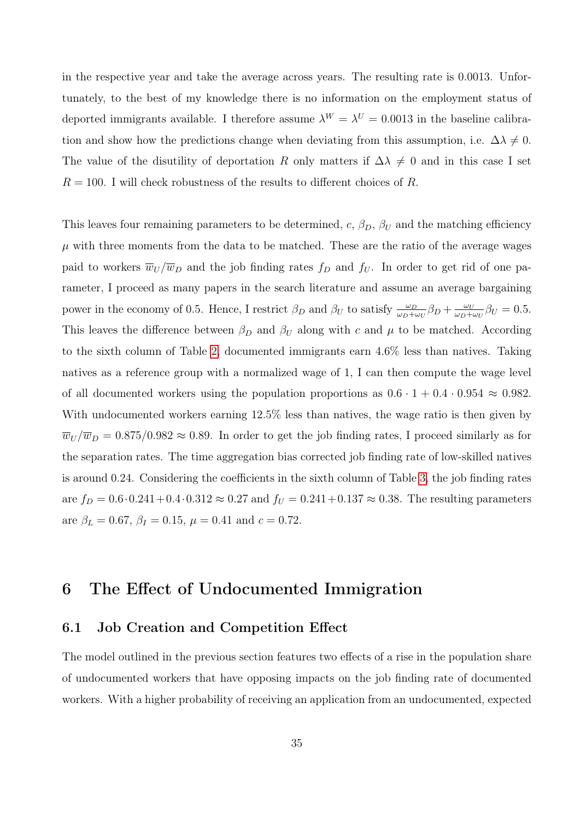in the respective year and take the average across years. The resulting rate is 0.0013. Unfortunately, to the best of my knowledge there is no information on the employment status of deported immigrants available. I therefore assume  $\lambda^{W} = \lambda^{U} = 0.0013$  in the baseline calibration and show how the predictions change when deviating from this assumption, i.e.  $\Delta\lambda \neq 0$ . The value of the disutility of deportation R only matters if  $\Delta\lambda \neq 0$  and in this case I set  $R = 100$ . I will check robustness of the results to different choices of R.

This leaves four remaining parameters to be determined, c,  $\beta_D$ ,  $\beta_U$  and the matching efficiency  $\mu$  with three moments from the data to be matched. These are the ratio of the average wages paid to workers  $\overline{w}_U / \overline{w}_D$  and the job finding rates  $f_D$  and  $f_U$ . In order to get rid of one parameter, I proceed as many papers in the search literature and assume an average bargaining power in the economy of 0.5. Hence, I restrict  $\beta_D$  and  $\beta_U$  to satisfy  $\frac{\omega_D}{\omega_D+\omega_U}\beta_D+\frac{\omega_U}{\omega_D+\omega_U}$  $\frac{\omega_U}{\omega_D+\omega_U}\beta_U=0.5.$ This leaves the difference between  $\beta_D$  and  $\beta_U$  along with c and  $\mu$  to be matched. According to the sixth column of Table [2,](#page-15-0) documented immigrants earn 4.6% less than natives. Taking natives as a reference group with a normalized wage of 1, I can then compute the wage level of all documented workers using the population proportions as  $0.6 \cdot 1 + 0.4 \cdot 0.954 \approx 0.982$ . With undocumented workers earning 12.5% less than natives, the wage ratio is then given by  $\overline{w}_U / \overline{w}_D = 0.875/0.982 \approx 0.89$ . In order to get the job finding rates, I proceed similarly as for the separation rates. The time aggregation bias corrected job finding rate of low-skilled natives is around 0.24. Considering the coefficients in the sixth column of Table [3,](#page-20-0) the job finding rates are  $f_D = 0.6 \cdot 0.241 + 0.4 \cdot 0.312 \approx 0.27$  and  $f_U = 0.241 + 0.137 \approx 0.38$ . The resulting parameters are  $\beta_L = 0.67$ ,  $\beta_I = 0.15$ ,  $\mu = 0.41$  and  $c = 0.72$ .

# 6 The Effect of Undocumented Immigration

### 6.1 Job Creation and Competition Effect

The model outlined in the previous section features two effects of a rise in the population share of undocumented workers that have opposing impacts on the job finding rate of documented workers. With a higher probability of receiving an application from an undocumented, expected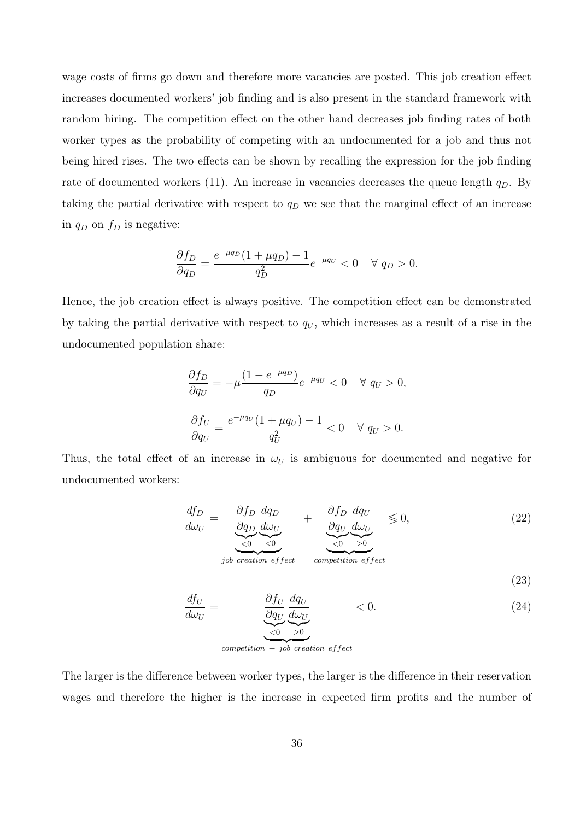wage costs of firms go down and therefore more vacancies are posted. This job creation effect increases documented workers' job finding and is also present in the standard framework with random hiring. The competition effect on the other hand decreases job finding rates of both worker types as the probability of competing with an undocumented for a job and thus not being hired rises. The two effects can be shown by recalling the expression for the job finding rate of documented workers (11). An increase in vacancies decreases the queue length  $q_D$ . By taking the partial derivative with respect to  $q_D$  we see that the marginal effect of an increase in  $q_D$  on  $f_D$  is negative:

$$
\frac{\partial f_D}{\partial q_D} = \frac{e^{-\mu q_D} (1 + \mu q_D) - 1}{q_D^2} e^{-\mu q_U} < 0 \quad \forall \ q_D > 0.
$$

Hence, the job creation effect is always positive. The competition effect can be demonstrated by taking the partial derivative with respect to  $q_U$ , which increases as a result of a rise in the undocumented population share:

$$
\frac{\partial f_D}{\partial q_U} = -\mu \frac{(1 - e^{-\mu q_D})}{q_D} e^{-\mu q_U} < 0 \quad \forall q_U > 0,
$$
\n
$$
\frac{\partial f_U}{\partial q_U} = \frac{e^{-\mu q_U} (1 + \mu q_U) - 1}{q_U^2} < 0 \quad \forall q_U > 0.
$$

Thus, the total effect of an increase in  $\omega_U$  is ambiguous for documented and negative for undocumented workers:

$$
\frac{df_D}{d\omega_U} = \underbrace{\underbrace{\frac{\partial f_D}{\partial q_D} \frac{dq_D}{d\omega_U}}_{\text{job creation effect}}}_{\text{creation effect}} + \underbrace{\underbrace{\frac{\partial f_D}{\partial q_U} \frac{dq_U}{d\omega_U}}_{\text{competition effect}}}_{\text{efficient}} \leq 0, \tag{22}
$$

$$
\frac{df_U}{d\omega_U} = \frac{\partial f_U}{\partial q_U} \frac{dq_U}{d\omega_U} \qquad < 0. \tag{24}
$$

(23)

 $\overline{c}$  competition + job creation effect

The larger is the difference between worker types, the larger is the difference in their reservation wages and therefore the higher is the increase in expected firm profits and the number of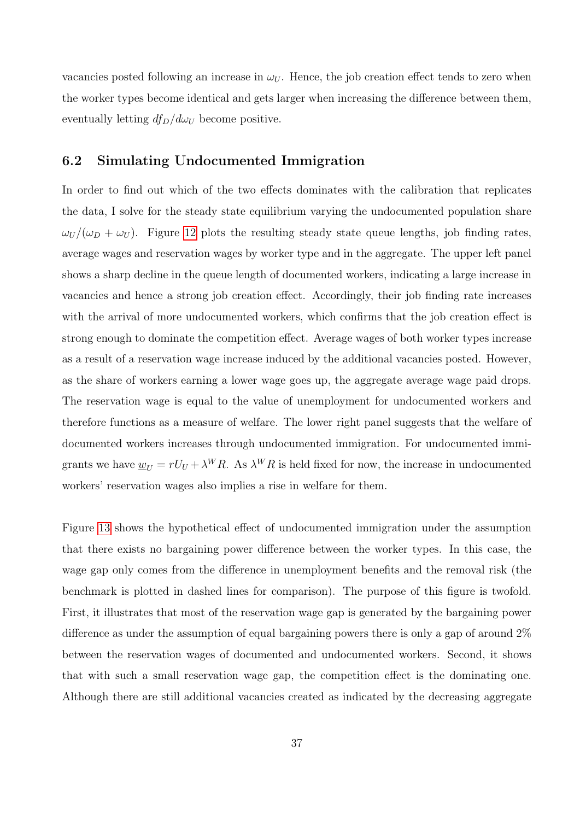vacancies posted following an increase in  $\omega_U$ . Hence, the job creation effect tends to zero when the worker types become identical and gets larger when increasing the difference between them, eventually letting  $df_D/d\omega_U$  become positive.

### 6.2 Simulating Undocumented Immigration

In order to find out which of the two effects dominates with the calibration that replicates the data, I solve for the steady state equilibrium varying the undocumented population share  $\omega_U/(\omega_D + \omega_U)$ . Figure [12](#page-37-0) plots the resulting steady state queue lengths, job finding rates, average wages and reservation wages by worker type and in the aggregate. The upper left panel shows a sharp decline in the queue length of documented workers, indicating a large increase in vacancies and hence a strong job creation effect. Accordingly, their job finding rate increases with the arrival of more undocumented workers, which confirms that the job creation effect is strong enough to dominate the competition effect. Average wages of both worker types increase as a result of a reservation wage increase induced by the additional vacancies posted. However, as the share of workers earning a lower wage goes up, the aggregate average wage paid drops. The reservation wage is equal to the value of unemployment for undocumented workers and therefore functions as a measure of welfare. The lower right panel suggests that the welfare of documented workers increases through undocumented immigration. For undocumented immigrants we have  $\underline{w}_U = rU_U + \lambda^W R$ . As  $\lambda^W R$  is held fixed for now, the increase in undocumented workers' reservation wages also implies a rise in welfare for them.

Figure [13](#page-38-0) shows the hypothetical effect of undocumented immigration under the assumption that there exists no bargaining power difference between the worker types. In this case, the wage gap only comes from the difference in unemployment benefits and the removal risk (the benchmark is plotted in dashed lines for comparison). The purpose of this figure is twofold. First, it illustrates that most of the reservation wage gap is generated by the bargaining power difference as under the assumption of equal bargaining powers there is only a gap of around 2% between the reservation wages of documented and undocumented workers. Second, it shows that with such a small reservation wage gap, the competition effect is the dominating one. Although there are still additional vacancies created as indicated by the decreasing aggregate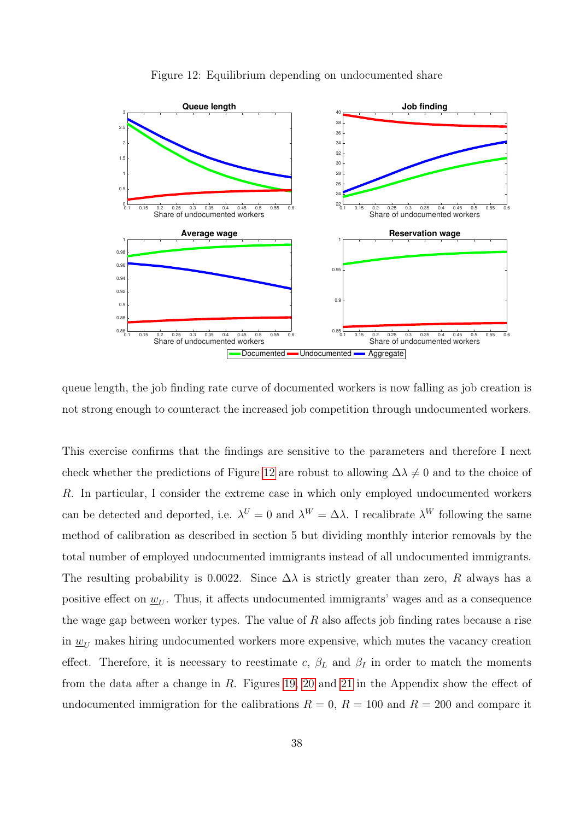<span id="page-37-0"></span>

Figure 12: Equilibrium depending on undocumented share

queue length, the job finding rate curve of documented workers is now falling as job creation is not strong enough to counteract the increased job competition through undocumented workers.

This exercise confirms that the findings are sensitive to the parameters and therefore I next check whether the predictions of Figure [12](#page-37-0) are robust to allowing  $\Delta\lambda \neq 0$  and to the choice of R. In particular, I consider the extreme case in which only employed undocumented workers can be detected and deported, i.e.  $\lambda^U = 0$  and  $\lambda^W = \Delta \lambda$ . I recalibrate  $\lambda^W$  following the same method of calibration as described in section 5 but dividing monthly interior removals by the total number of employed undocumented immigrants instead of all undocumented immigrants. The resulting probability is 0.0022. Since  $\Delta\lambda$  is strictly greater than zero, R always has a positive effect on  $\underline{w}_U$ . Thus, it affects undocumented immigrants' wages and as a consequence the wage gap between worker types. The value of  $R$  also affects job finding rates because a rise in  $\underline{w}_U$  makes hiring undocumented workers more expensive, which mutes the vacancy creation effect. Therefore, it is necessary to reestimate c,  $\beta_L$  and  $\beta_I$  in order to match the moments from the data after a change in R. Figures [19,](#page-58-0) [20](#page-58-1) and [21](#page-59-0) in the Appendix show the effect of undocumented immigration for the calibrations  $R = 0$ ,  $R = 100$  and  $R = 200$  and compare it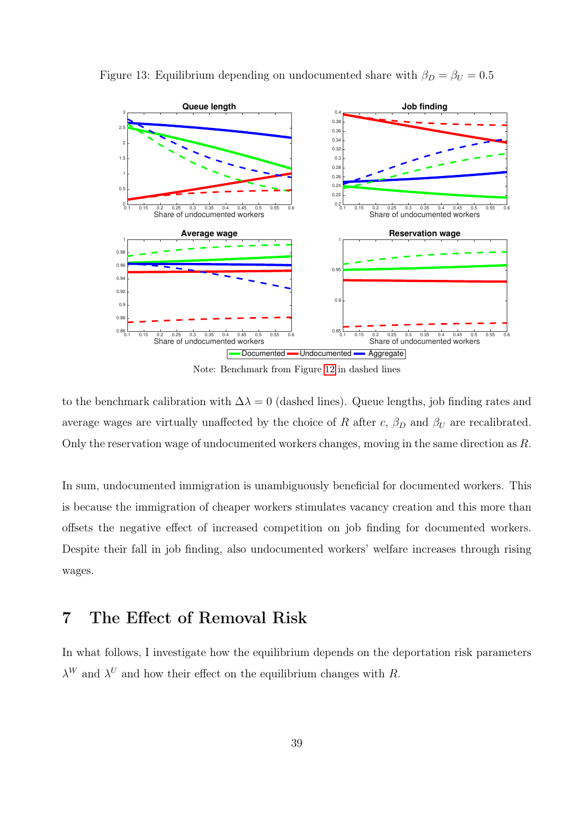

<span id="page-38-0"></span>Figure 13: Equilibrium depending on undocumented share with  $\beta_D = \beta_U = 0.5$ 

Note: Benchmark from Figure [12](#page-37-0) in dashed lines

to the benchmark calibration with  $\Delta\lambda = 0$  (dashed lines). Queue lengths, job finding rates and average wages are virtually unaffected by the choice of R after c,  $\beta_D$  and  $\beta_U$  are recalibrated. Only the reservation wage of undocumented workers changes, moving in the same direction as R.

In sum, undocumented immigration is unambiguously beneficial for documented workers. This is because the immigration of cheaper workers stimulates vacancy creation and this more than offsets the negative effect of increased competition on job finding for documented workers. Despite their fall in job finding, also undocumented workers' welfare increases through rising wages.

# 7 The Effect of Removal Risk

In what follows, I investigate how the equilibrium depends on the deportation risk parameters  $\lambda^{W}$  and  $\lambda^{U}$  and how their effect on the equilibrium changes with R.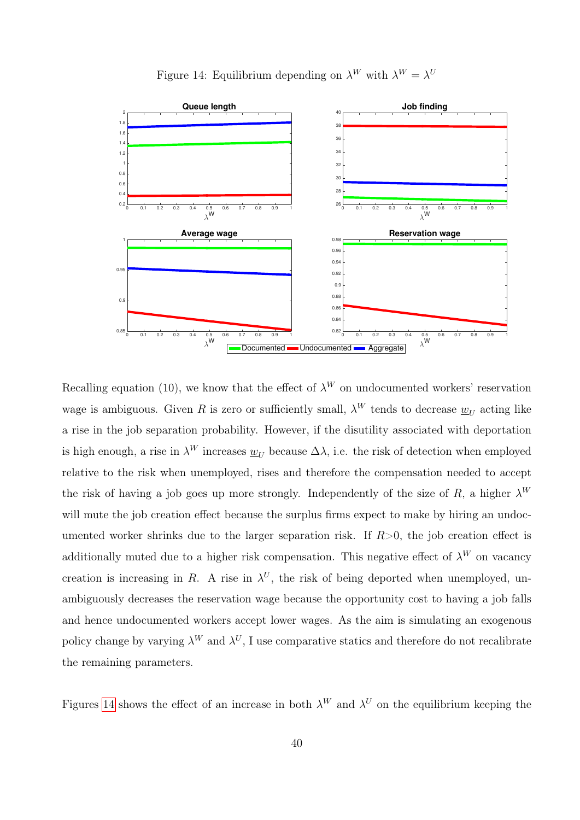Figure 14: Equilibrium depending on  $\lambda^W$  with  $\lambda^W = \lambda^U$ 

<span id="page-39-0"></span>

Recalling equation (10), we know that the effect of  $\lambda^W$  on undocumented workers' reservation wage is ambiguous. Given R is zero or sufficiently small,  $\lambda^W$  tends to decrease  $\underline{w}_U$  acting like a rise in the job separation probability. However, if the disutility associated with deportation is high enough, a rise in  $\lambda^W$  increases  $\underline{w}_U$  because  $\Delta\lambda$ , i.e. the risk of detection when employed relative to the risk when unemployed, rises and therefore the compensation needed to accept the risk of having a job goes up more strongly. Independently of the size of R, a higher  $\lambda^W$ will mute the job creation effect because the surplus firms expect to make by hiring an undocumented worker shrinks due to the larger separation risk. If  $R>0$ , the job creation effect is additionally muted due to a higher risk compensation. This negative effect of  $\lambda^W$  on vacancy creation is increasing in R. A rise in  $\lambda^U$ , the risk of being deported when unemployed, unambiguously decreases the reservation wage because the opportunity cost to having a job falls and hence undocumented workers accept lower wages. As the aim is simulating an exogenous policy change by varying  $\lambda^W$  and  $\lambda^U$ , I use comparative statics and therefore do not recalibrate the remaining parameters.

Figures [14](#page-39-0) shows the effect of an increase in both  $\lambda^W$  and  $\lambda^U$  on the equilibrium keeping the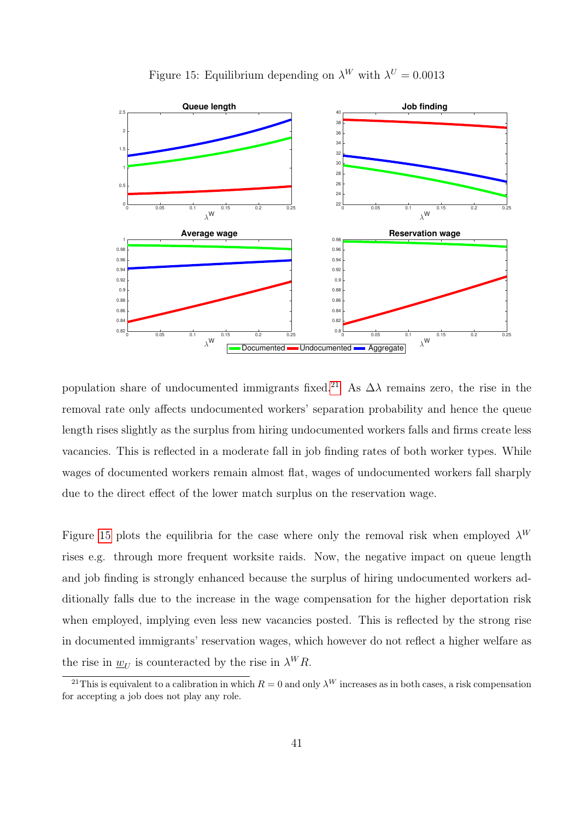<span id="page-40-1"></span>

Figure 15: Equilibrium depending on  $\lambda^W$  with  $\lambda^U = 0.0013$ 

population share of undocumented immigrants fixed.<sup>[21](#page-40-0)</sup> As  $\Delta\lambda$  remains zero, the rise in the removal rate only affects undocumented workers' separation probability and hence the queue length rises slightly as the surplus from hiring undocumented workers falls and firms create less vacancies. This is reflected in a moderate fall in job finding rates of both worker types. While wages of documented workers remain almost flat, wages of undocumented workers fall sharply due to the direct effect of the lower match surplus on the reservation wage.

Figure [15](#page-40-1) plots the equilibria for the case where only the removal risk when employed  $\lambda^{W}$ rises e.g. through more frequent worksite raids. Now, the negative impact on queue length and job finding is strongly enhanced because the surplus of hiring undocumented workers additionally falls due to the increase in the wage compensation for the higher deportation risk when employed, implying even less new vacancies posted. This is reflected by the strong rise in documented immigrants' reservation wages, which however do not reflect a higher welfare as the rise in  $\underline{w}_U$  is counteracted by the rise in  $\lambda^W R$ .

<span id="page-40-0"></span><sup>&</sup>lt;sup>21</sup>This is equivalent to a calibration in which  $R = 0$  and only  $\lambda^W$  increases as in both cases, a risk compensation for accepting a job does not play any role.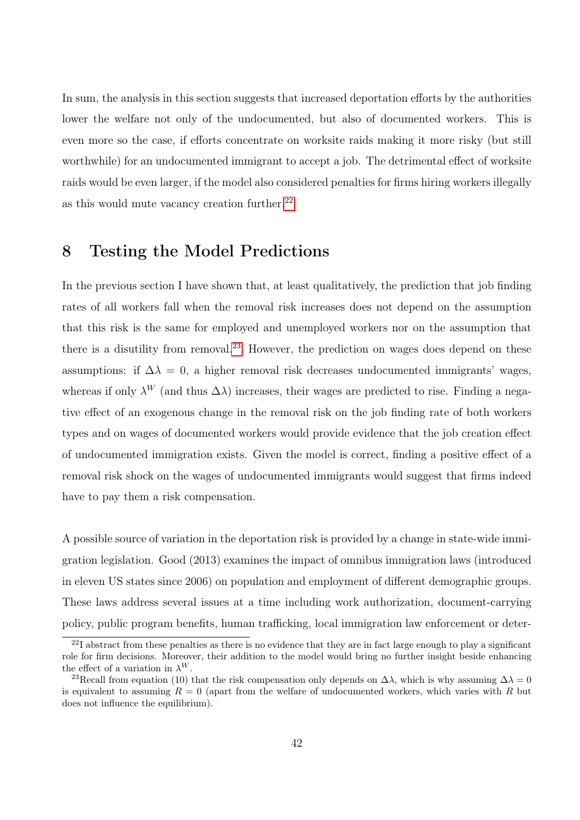In sum, the analysis in this section suggests that increased deportation efforts by the authorities lower the welfare not only of the undocumented, but also of documented workers. This is even more so the case, if efforts concentrate on worksite raids making it more risky (but still worthwhile) for an undocumented immigrant to accept a job. The detrimental effect of worksite raids would be even larger, if the model also considered penalties for firms hiring workers illegally as this would mute vacancy creation further. $22$ 

# 8 Testing the Model Predictions

In the previous section I have shown that, at least qualitatively, the prediction that job finding rates of all workers fall when the removal risk increases does not depend on the assumption that this risk is the same for employed and unemployed workers nor on the assumption that there is a disutility from removal.<sup>[23](#page-41-1)</sup> However, the prediction on wages does depend on these assumptions: if  $\Delta \lambda = 0$ , a higher removal risk decreases undocumented immigrants' wages, whereas if only  $\lambda^W$  (and thus  $\Delta\lambda$ ) increases, their wages are predicted to rise. Finding a negative effect of an exogenous change in the removal risk on the job finding rate of both workers types and on wages of documented workers would provide evidence that the job creation effect of undocumented immigration exists. Given the model is correct, finding a positive effect of a removal risk shock on the wages of undocumented immigrants would suggest that firms indeed have to pay them a risk compensation.

A possible source of variation in the deportation risk is provided by a change in state-wide immigration legislation. Good (2013) examines the impact of omnibus immigration laws (introduced in eleven US states since 2006) on population and employment of different demographic groups. These laws address several issues at a time including work authorization, document-carrying policy, public program benefits, human trafficking, local immigration law enforcement or deter-

<span id="page-41-0"></span> $^{22}I$  abstract from these penalties as there is no evidence that they are in fact large enough to play a significant role for firm decisions. Moreover, their addition to the model would bring no further insight beside enhancing the effect of a variation in  $\lambda^{W}$ .

<span id="page-41-1"></span><sup>&</sup>lt;sup>23</sup>Recall from equation (10) that the risk compensation only depends on  $\Delta\lambda$ , which is why assuming  $\Delta\lambda = 0$ is equivalent to assuming  $R = 0$  (apart from the welfare of undocumented workers, which varies with R but does not influence the equilibrium).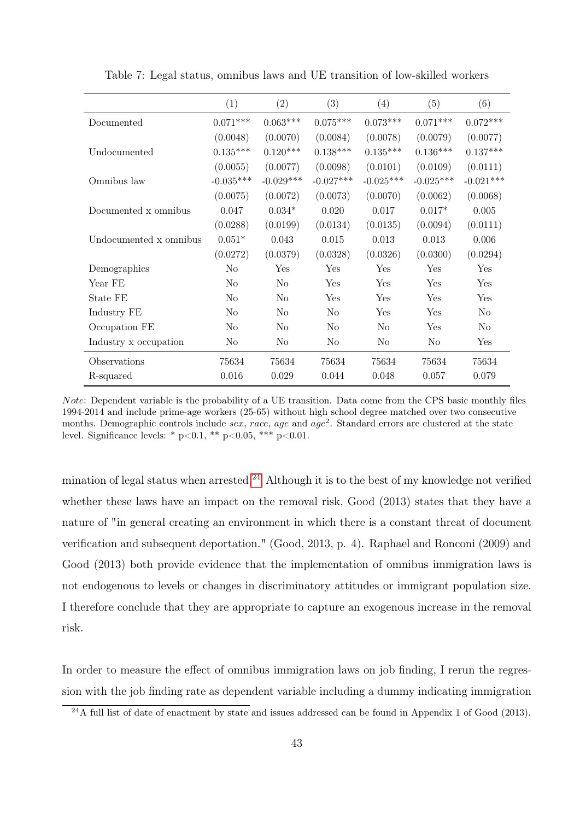<span id="page-42-1"></span>

|                        | (1)            | (2)            | (3)            | (4)            | (5)            | (6)            |
|------------------------|----------------|----------------|----------------|----------------|----------------|----------------|
| Documented             | $0.071***$     | $0.063***$     | $0.075***$     | $0.073***$     | $0.071***$     | $0.072***$     |
|                        | (0.0048)       | (0.0070)       | (0.0084)       | (0.0078)       | (0.0079)       | (0.0077)       |
| Undocumented           | $0.135***$     | $0.120***$     | $0.138***$     | $0.135***$     | $0.136***$     | $0.137***$     |
|                        | (0.0055)       | (0.0077)       | (0.0098)       | (0.0101)       | (0.0109)       | (0.0111)       |
| Omnibus law            | $-0.035***$    | $-0.029***$    | $-0.027***$    | $-0.025***$    | $-0.025***$    | $-0.021***$    |
|                        | (0.0075)       | (0.0072)       | (0.0073)       | (0.0070)       | (0.0062)       | (0.0068)       |
| Documented x omnibus   | 0.047          | $0.034*$       | 0.020          | 0.017          | $0.017*$       | 0.005          |
|                        | (0.0288)       | (0.0199)       | (0.0134)       | (0.0135)       | (0.0094)       | (0.0111)       |
| Undocumented x omnibus | $0.051*$       | 0.043          | 0.015          | 0.013          | 0.013          | 0.006          |
|                        | (0.0272)       | (0.0379)       | (0.0328)       | (0.0326)       | (0.0300)       | (0.0294)       |
| Demographics           | No             | Yes            | Yes            | Yes            | Yes            | Yes            |
| Year FE                | N <sub>o</sub> | N <sub>o</sub> | Yes            | Yes            | Yes            | Yes            |
| State FE               | N <sub>0</sub> | N <sub>o</sub> | Yes            | Yes            | Yes            | Yes            |
| Industry FE            | No             | No             | No             | Yes            | Yes            | N <sub>o</sub> |
| Occupation FE          | No             | N <sub>0</sub> | No             | No             | Yes            | N <sub>0</sub> |
| Industry x occupation  | N <sub>o</sub> | N <sub>o</sub> | N <sub>0</sub> | N <sub>o</sub> | N <sub>o</sub> | Yes            |
| Observations           | 75634          | 75634          | 75634          | 75634          | 75634          | 75634          |
| R-squared              | 0.016          | 0.029          | 0.044          | 0.048          | 0.057          | 0.079          |

Table 7: Legal status, omnibus laws and UE transition of low-skilled workers

Note: Dependent variable is the probability of a UE transition. Data come from the CPS basic monthly files 1994-2014 and include prime-age workers (25-65) without high school degree matched over two consecutive months. Demographic controls include sex, race, age and  $age^2$ . Standard errors are clustered at the state level. Significance levels: \*  $p<0.1$ , \*\*  $p<0.05$ , \*\*\*  $p<0.01$ .

mination of legal status when arrested.<sup>[24](#page-42-0)</sup> Although it is to the best of my knowledge not verified whether these laws have an impact on the removal risk, Good (2013) states that they have a nature of "in general creating an environment in which there is a constant threat of document verification and subsequent deportation." (Good, 2013, p. 4). Raphael and Ronconi (2009) and Good (2013) both provide evidence that the implementation of omnibus immigration laws is not endogenous to levels or changes in discriminatory attitudes or immigrant population size. I therefore conclude that they are appropriate to capture an exogenous increase in the removal risk.

In order to measure the effect of omnibus immigration laws on job finding, I rerun the regression with the job finding rate as dependent variable including a dummy indicating immigration

<span id="page-42-0"></span> $^{24}$ A full list of date of enactment by state and issues addressed can be found in Appendix 1 of Good (2013).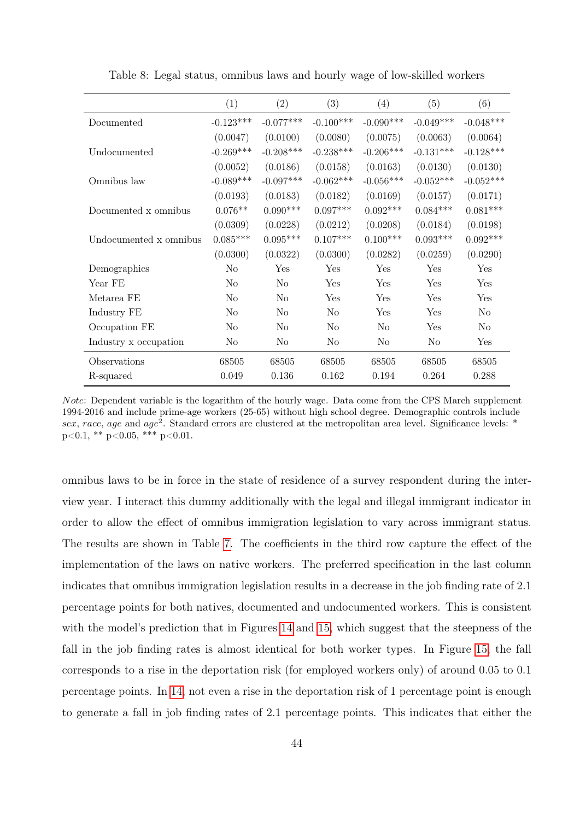<span id="page-43-0"></span>

|                        | (1)            | (2)            | (3)            | (4)            | (5)         | (6)            |
|------------------------|----------------|----------------|----------------|----------------|-------------|----------------|
| Documented             | $-0.123***$    | $-0.077***$    | $-0.100***$    | $-0.090***$    | $-0.049***$ | $-0.048***$    |
|                        | (0.0047)       | (0.0100)       | (0.0080)       | (0.0075)       | (0.0063)    | (0.0064)       |
| Undocumented           | $-0.269***$    | $-0.208***$    | $-0.238***$    | $-0.206***$    | $-0.131***$ | $-0.128***$    |
|                        | (0.0052)       | (0.0186)       | (0.0158)       | (0.0163)       | (0.0130)    | (0.0130)       |
| Omnibus law            | $-0.089***$    | $-0.097***$    | $-0.062***$    | $-0.056***$    | $-0.052***$ | $-0.052***$    |
|                        | (0.0193)       | (0.0183)       | (0.0182)       | (0.0169)       | (0.0157)    | (0.0171)       |
| Documented x omnibus   | $0.076**$      | $0.090***$     | $0.097***$     | $0.092***$     | $0.084***$  | $0.081***$     |
|                        | (0.0309)       | (0.0228)       | (0.0212)       | (0.0208)       | (0.0184)    | (0.0198)       |
| Undocumented x omnibus | $0.085***$     | $0.095***$     | $0.107***$     | $0.100***$     | $0.093***$  | $0.092***$     |
|                        | (0.0300)       | (0.0322)       | (0.0300)       | (0.0282)       | (0.0259)    | (0.0290)       |
| Demographics           | No             | Yes            | Yes            | Yes            | Yes         | Yes            |
| Year FE                | N <sub>o</sub> | N <sub>o</sub> | Yes            | Yes            | Yes         | Yes            |
| Metarea FE             | N <sub>o</sub> | N <sub>o</sub> | Yes            | Yes            | Yes         | Yes            |
| Industry FE            | N <sub>0</sub> | N <sub>o</sub> | N <sub>0</sub> | Yes            | Yes         | No             |
| Occupation FE          | No             | N <sub>o</sub> | No             | N <sub>0</sub> | Yes         | N <sub>0</sub> |
| Industry x occupation  | N <sub>o</sub> | No             | N <sub>o</sub> | N <sub>o</sub> | No          | Yes            |
| Observations           | 68505          | 68505          | 68505          | 68505          | 68505       | 68505          |
| R-squared              | 0.049          | 0.136          | 0.162          | 0.194          | 0.264       | 0.288          |

Table 8: Legal status, omnibus laws and hourly wage of low-skilled workers

Note: Dependent variable is the logarithm of the hourly wage. Data come from the CPS March supplement 1994-2016 and include prime-age workers (25-65) without high school degree. Demographic controls include sex, race, age and age<sup>2</sup>. Standard errors are clustered at the metropolitan area level. Significance levels: \* p<0.1, \*\* p<0.05, \*\*\* p<0.01.

omnibus laws to be in force in the state of residence of a survey respondent during the interview year. I interact this dummy additionally with the legal and illegal immigrant indicator in order to allow the effect of omnibus immigration legislation to vary across immigrant status. The results are shown in Table [7.](#page-42-1) The coefficients in the third row capture the effect of the implementation of the laws on native workers. The preferred specification in the last column indicates that omnibus immigration legislation results in a decrease in the job finding rate of 2.1 percentage points for both natives, documented and undocumented workers. This is consistent with the model's prediction that in Figures [14](#page-39-0) and [15,](#page-40-1) which suggest that the steepness of the fall in the job finding rates is almost identical for both worker types. In Figure [15,](#page-40-1) the fall corresponds to a rise in the deportation risk (for employed workers only) of around 0.05 to 0.1 percentage points. In [14,](#page-39-0) not even a rise in the deportation risk of 1 percentage point is enough to generate a fall in job finding rates of 2.1 percentage points. This indicates that either the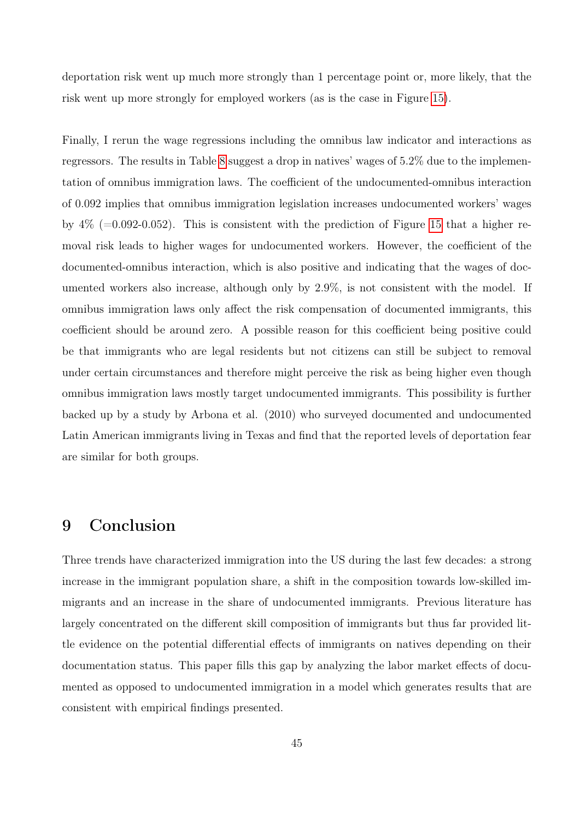deportation risk went up much more strongly than 1 percentage point or, more likely, that the risk went up more strongly for employed workers (as is the case in Figure [15\)](#page-40-1).

Finally, I rerun the wage regressions including the omnibus law indicator and interactions as regressors. The results in Table [8](#page-43-0) suggest a drop in natives' wages of 5.2% due to the implementation of omnibus immigration laws. The coefficient of the undocumented-omnibus interaction of 0.092 implies that omnibus immigration legislation increases undocumented workers' wages by  $4\%$  (=0.092-0.052). This is consistent with the prediction of Figure [15](#page-40-1) that a higher removal risk leads to higher wages for undocumented workers. However, the coefficient of the documented-omnibus interaction, which is also positive and indicating that the wages of documented workers also increase, although only by 2.9%, is not consistent with the model. If omnibus immigration laws only affect the risk compensation of documented immigrants, this coefficient should be around zero. A possible reason for this coefficient being positive could be that immigrants who are legal residents but not citizens can still be subject to removal under certain circumstances and therefore might perceive the risk as being higher even though omnibus immigration laws mostly target undocumented immigrants. This possibility is further backed up by a study by Arbona et al. (2010) who surveyed documented and undocumented Latin American immigrants living in Texas and find that the reported levels of deportation fear are similar for both groups.

# 9 Conclusion

Three trends have characterized immigration into the US during the last few decades: a strong increase in the immigrant population share, a shift in the composition towards low-skilled immigrants and an increase in the share of undocumented immigrants. Previous literature has largely concentrated on the different skill composition of immigrants but thus far provided little evidence on the potential differential effects of immigrants on natives depending on their documentation status. This paper fills this gap by analyzing the labor market effects of documented as opposed to undocumented immigration in a model which generates results that are consistent with empirical findings presented.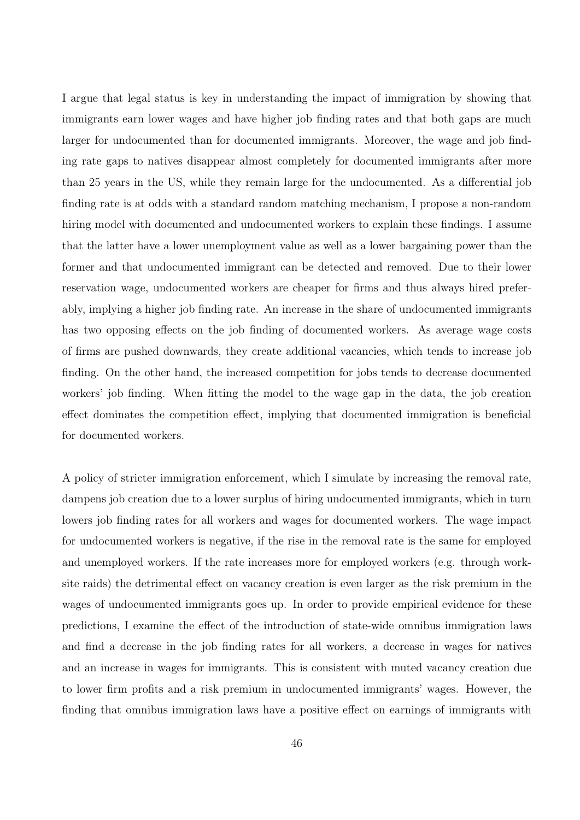I argue that legal status is key in understanding the impact of immigration by showing that immigrants earn lower wages and have higher job finding rates and that both gaps are much larger for undocumented than for documented immigrants. Moreover, the wage and job finding rate gaps to natives disappear almost completely for documented immigrants after more than 25 years in the US, while they remain large for the undocumented. As a differential job finding rate is at odds with a standard random matching mechanism, I propose a non-random hiring model with documented and undocumented workers to explain these findings. I assume that the latter have a lower unemployment value as well as a lower bargaining power than the former and that undocumented immigrant can be detected and removed. Due to their lower reservation wage, undocumented workers are cheaper for firms and thus always hired preferably, implying a higher job finding rate. An increase in the share of undocumented immigrants has two opposing effects on the job finding of documented workers. As average wage costs of firms are pushed downwards, they create additional vacancies, which tends to increase job finding. On the other hand, the increased competition for jobs tends to decrease documented workers' job finding. When fitting the model to the wage gap in the data, the job creation effect dominates the competition effect, implying that documented immigration is beneficial for documented workers.

A policy of stricter immigration enforcement, which I simulate by increasing the removal rate, dampens job creation due to a lower surplus of hiring undocumented immigrants, which in turn lowers job finding rates for all workers and wages for documented workers. The wage impact for undocumented workers is negative, if the rise in the removal rate is the same for employed and unemployed workers. If the rate increases more for employed workers (e.g. through worksite raids) the detrimental effect on vacancy creation is even larger as the risk premium in the wages of undocumented immigrants goes up. In order to provide empirical evidence for these predictions, I examine the effect of the introduction of state-wide omnibus immigration laws and find a decrease in the job finding rates for all workers, a decrease in wages for natives and an increase in wages for immigrants. This is consistent with muted vacancy creation due to lower firm profits and a risk premium in undocumented immigrants' wages. However, the finding that omnibus immigration laws have a positive effect on earnings of immigrants with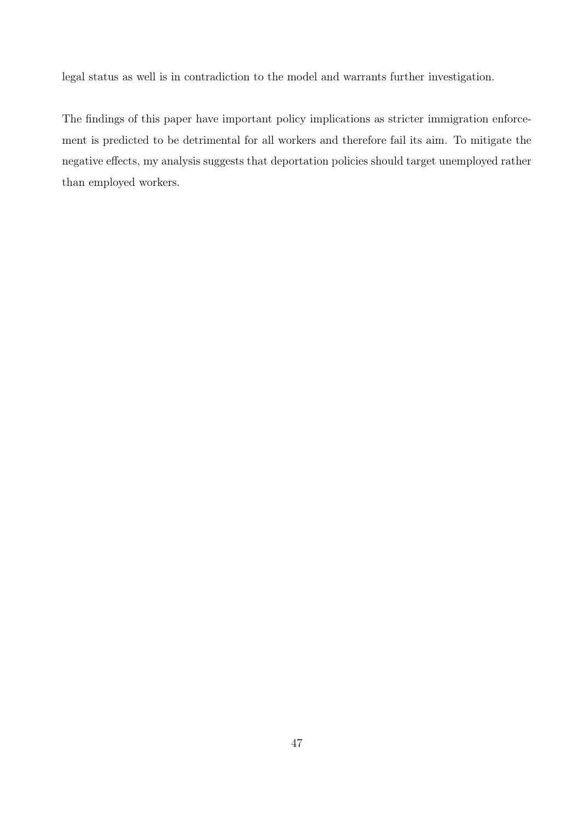legal status as well is in contradiction to the model and warrants further investigation.

The findings of this paper have important policy implications as stricter immigration enforcement is predicted to be detrimental for all workers and therefore fail its aim. To mitigate the negative effects, my analysis suggests that deportation policies should target unemployed rather than employed workers.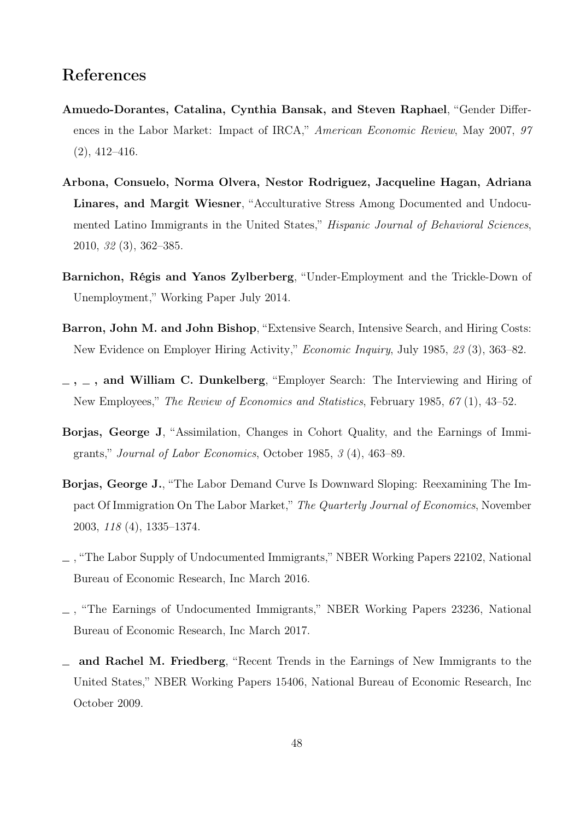# References

- Amuedo-Dorantes, Catalina, Cynthia Bansak, and Steven Raphael, "Gender Differences in the Labor Market: Impact of IRCA," American Economic Review, May 2007, 97  $(2), 412 - 416.$
- Arbona, Consuelo, Norma Olvera, Nestor Rodriguez, Jacqueline Hagan, Adriana Linares, and Margit Wiesner, "Acculturative Stress Among Documented and Undocumented Latino Immigrants in the United States," *Hispanic Journal of Behavioral Sciences*, 2010, 32 (3), 362–385.
- Barnichon, Régis and Yanos Zylberberg, "Under-Employment and the Trickle-Down of Unemployment," Working Paper July 2014.
- Barron, John M. and John Bishop, "Extensive Search, Intensive Search, and Hiring Costs: New Evidence on Employer Hiring Activity," Economic Inquiry, July 1985, 23 (3), 363–82.
- $-$ ,  $-$ , and William C. Dunkelberg, "Employer Search: The Interviewing and Hiring of New Employees," The Review of Economics and Statistics, February 1985, 67 (1), 43–52.
- Borjas, George J, "Assimilation, Changes in Cohort Quality, and the Earnings of Immigrants," Journal of Labor Economics, October 1985, 3 (4), 463–89.
- Borjas, George J., "The Labor Demand Curve Is Downward Sloping: Reexamining The Impact Of Immigration On The Labor Market," The Quarterly Journal of Economics, November 2003, 118 (4), 1335–1374.
- , "The Labor Supply of Undocumented Immigrants," NBER Working Papers 22102, National Bureau of Economic Research, Inc March 2016.
- , "The Earnings of Undocumented Immigrants," NBER Working Papers 23236, National Bureau of Economic Research, Inc March 2017.
- and Rachel M. Friedberg, "Recent Trends in the Earnings of New Immigrants to the United States," NBER Working Papers 15406, National Bureau of Economic Research, Inc October 2009.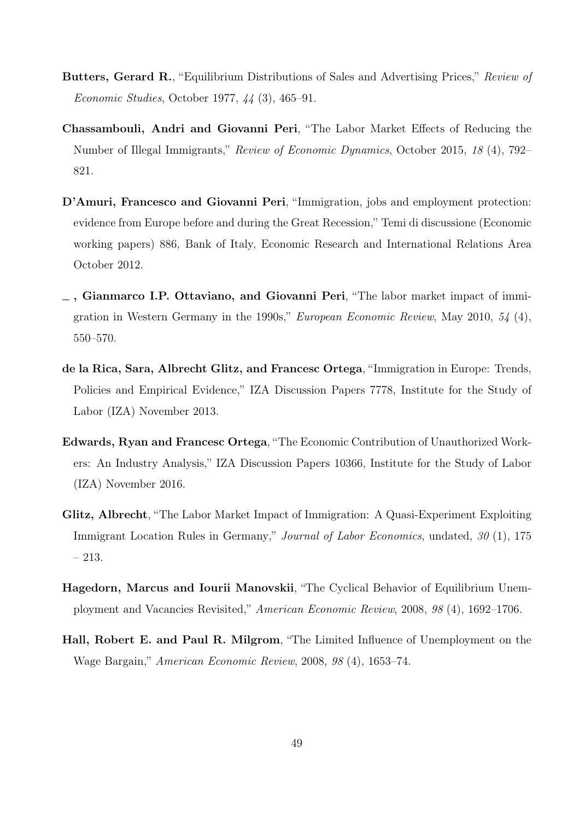- Butters, Gerard R., "Equilibrium Distributions of Sales and Advertising Prices," Review of Economic Studies, October 1977, 44 (3), 465–91.
- Chassambouli, Andri and Giovanni Peri, "The Labor Market Effects of Reducing the Number of Illegal Immigrants," Review of Economic Dynamics, October 2015, 18 (4), 792– 821.
- D'Amuri, Francesco and Giovanni Peri, "Immigration, jobs and employment protection: evidence from Europe before and during the Great Recession," Temi di discussione (Economic working papers) 886, Bank of Italy, Economic Research and International Relations Area October 2012.
- , Gianmarco I.P. Ottaviano, and Giovanni Peri, "The labor market impact of immigration in Western Germany in the 1990s," European Economic Review, May 2010, 54 (4), 550–570.
- de la Rica, Sara, Albrecht Glitz, and Francesc Ortega, "Immigration in Europe: Trends, Policies and Empirical Evidence," IZA Discussion Papers 7778, Institute for the Study of Labor (IZA) November 2013.
- Edwards, Ryan and Francesc Ortega, "The Economic Contribution of Unauthorized Workers: An Industry Analysis," IZA Discussion Papers 10366, Institute for the Study of Labor (IZA) November 2016.
- Glitz, Albrecht, "The Labor Market Impact of Immigration: A Quasi-Experiment Exploiting Immigrant Location Rules in Germany," Journal of Labor Economics, undated, 30 (1), 175 – 213.
- Hagedorn, Marcus and Iourii Manovskii, "The Cyclical Behavior of Equilibrium Unemployment and Vacancies Revisited," American Economic Review, 2008, 98 (4), 1692–1706.
- Hall, Robert E. and Paul R. Milgrom, "The Limited Influence of Unemployment on the Wage Bargain," American Economic Review, 2008, 98 (4), 1653–74.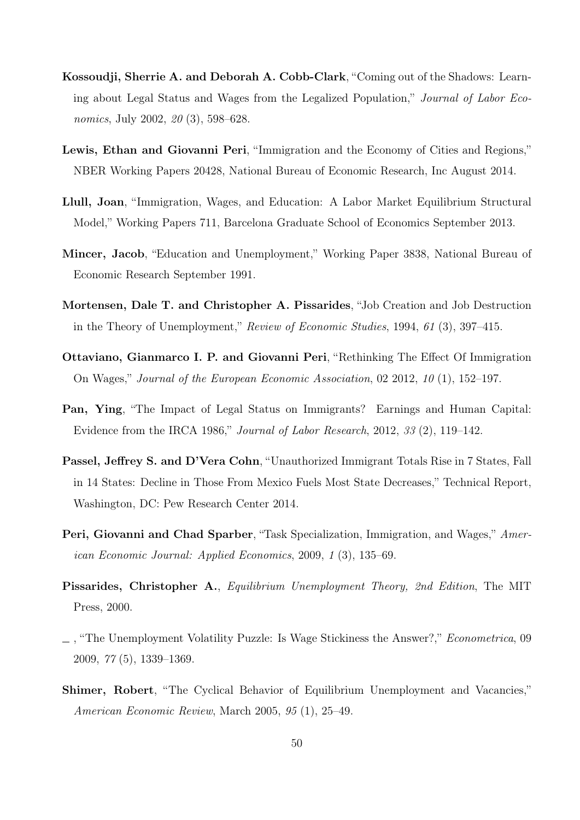- Kossoudji, Sherrie A. and Deborah A. Cobb-Clark, "Coming out of the Shadows: Learning about Legal Status and Wages from the Legalized Population," Journal of Labor Economics, July 2002, 20 (3), 598–628.
- Lewis, Ethan and Giovanni Peri, "Immigration and the Economy of Cities and Regions," NBER Working Papers 20428, National Bureau of Economic Research, Inc August 2014.
- Llull, Joan, "Immigration, Wages, and Education: A Labor Market Equilibrium Structural Model," Working Papers 711, Barcelona Graduate School of Economics September 2013.
- Mincer, Jacob, "Education and Unemployment," Working Paper 3838, National Bureau of Economic Research September 1991.
- Mortensen, Dale T. and Christopher A. Pissarides, "Job Creation and Job Destruction in the Theory of Unemployment," Review of Economic Studies, 1994, 61 (3), 397–415.
- Ottaviano, Gianmarco I. P. and Giovanni Peri, "Rethinking The Effect Of Immigration On Wages," Journal of the European Economic Association, 02 2012, 10 (1), 152–197.
- Pan, Ying, "The Impact of Legal Status on Immigrants? Earnings and Human Capital: Evidence from the IRCA 1986," Journal of Labor Research, 2012, 33 (2), 119–142.
- Passel, Jeffrey S. and D'Vera Cohn, "Unauthorized Immigrant Totals Rise in 7 States, Fall in 14 States: Decline in Those From Mexico Fuels Most State Decreases," Technical Report, Washington, DC: Pew Research Center 2014.
- **Peri, Giovanni and Chad Sparber,** "Task Specialization, Immigration, and Wages," American Economic Journal: Applied Economics, 2009, 1 (3), 135–69.
- Pissarides, Christopher A., Equilibrium Unemployment Theory, 2nd Edition, The MIT Press, 2000.
- , "The Unemployment Volatility Puzzle: Is Wage Stickiness the Answer?," Econometrica, 09 2009, 77 (5), 1339–1369.
- Shimer, Robert, "The Cyclical Behavior of Equilibrium Unemployment and Vacancies," American Economic Review, March 2005, 95 (1), 25–49.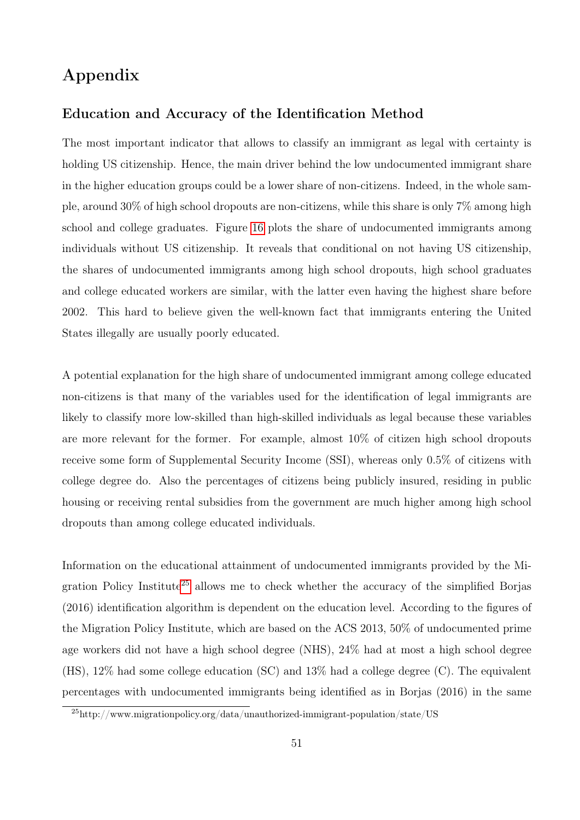# Appendix

### Education and Accuracy of the Identification Method

The most important indicator that allows to classify an immigrant as legal with certainty is holding US citizenship. Hence, the main driver behind the low undocumented immigrant share in the higher education groups could be a lower share of non-citizens. Indeed, in the whole sample, around 30% of high school dropouts are non-citizens, while this share is only 7% among high school and college graduates. Figure [16](#page-51-0) plots the share of undocumented immigrants among individuals without US citizenship. It reveals that conditional on not having US citizenship, the shares of undocumented immigrants among high school dropouts, high school graduates and college educated workers are similar, with the latter even having the highest share before 2002. This hard to believe given the well-known fact that immigrants entering the United States illegally are usually poorly educated.

A potential explanation for the high share of undocumented immigrant among college educated non-citizens is that many of the variables used for the identification of legal immigrants are likely to classify more low-skilled than high-skilled individuals as legal because these variables are more relevant for the former. For example, almost 10% of citizen high school dropouts receive some form of Supplemental Security Income (SSI), whereas only 0.5% of citizens with college degree do. Also the percentages of citizens being publicly insured, residing in public housing or receiving rental subsidies from the government are much higher among high school dropouts than among college educated individuals.

Information on the educational attainment of undocumented immigrants provided by the Mi-gration Policy Institute<sup>[25](#page-50-0)</sup> allows me to check whether the accuracy of the simplified Borjas (2016) identification algorithm is dependent on the education level. According to the figures of the Migration Policy Institute, which are based on the ACS 2013, 50% of undocumented prime age workers did not have a high school degree (NHS), 24% had at most a high school degree (HS), 12% had some college education (SC) and 13% had a college degree (C). The equivalent percentages with undocumented immigrants being identified as in Borjas (2016) in the same

<span id="page-50-0"></span> $^{25}$ http://www.migrationpolicy.org/data/unauthorized-immigrant-population/state/US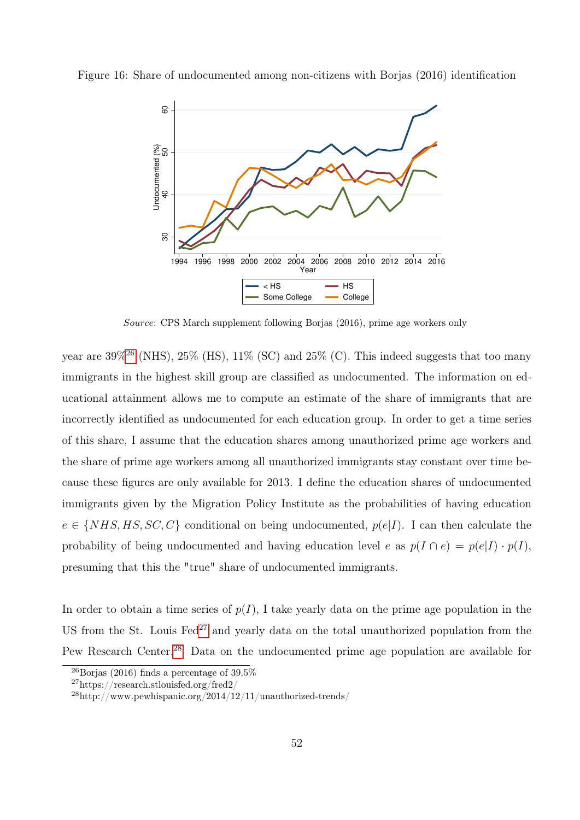

<span id="page-51-0"></span>Figure 16: Share of undocumented among non-citizens with Borjas (2016) identification

Source: CPS March supplement following Borjas (2016), prime age workers only

year are  $39\%^{26}$  $39\%^{26}$  $39\%^{26}$  (NHS),  $25\%$  (HS),  $11\%$  (SC) and  $25\%$  (C). This indeed suggests that too many immigrants in the highest skill group are classified as undocumented. The information on educational attainment allows me to compute an estimate of the share of immigrants that are incorrectly identified as undocumented for each education group. In order to get a time series of this share, I assume that the education shares among unauthorized prime age workers and the share of prime age workers among all unauthorized immigrants stay constant over time because these figures are only available for 2013. I define the education shares of undocumented immigrants given by the Migration Policy Institute as the probabilities of having education  $e \in \{NHS, HS, SC, C\}$  conditional on being undocumented,  $p(e|I)$ . I can then calculate the probability of being undocumented and having education level e as  $p(I \cap e) = p(e|I) \cdot p(I)$ , presuming that this the "true" share of undocumented immigrants.

In order to obtain a time series of  $p(I)$ , I take yearly data on the prime age population in the US from the St. Louis  $\text{Fed}^{27}$  $\text{Fed}^{27}$  $\text{Fed}^{27}$  and yearly data on the total unauthorized population from the Pew Research Center.<sup>[28](#page-51-3)</sup> Data on the undocumented prime age population are available for

<span id="page-51-1"></span> $^{26}$ Borjas (2016) finds a percentage of 39.5%

<span id="page-51-2"></span><sup>27</sup>https://research.stlouisfed.org/fred2/

<span id="page-51-3"></span><sup>28</sup>http://www.pewhispanic.org/2014/12/11/unauthorized-trends/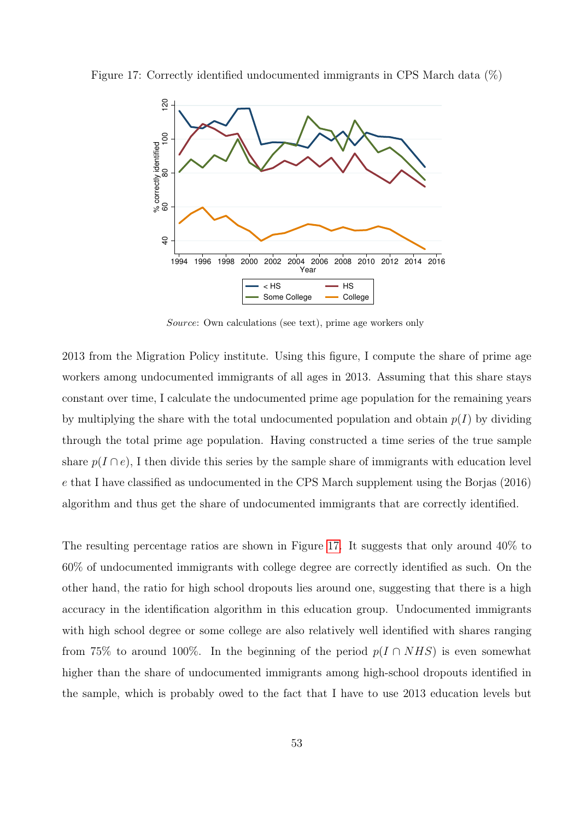<span id="page-52-0"></span>Figure 17: Correctly identified undocumented immigrants in CPS March data (%)



Source: Own calculations (see text), prime age workers only

2013 from the Migration Policy institute. Using this figure, I compute the share of prime age workers among undocumented immigrants of all ages in 2013. Assuming that this share stays constant over time, I calculate the undocumented prime age population for the remaining years by multiplying the share with the total undocumented population and obtain  $p(I)$  by dividing through the total prime age population. Having constructed a time series of the true sample share  $p(I \cap e)$ , I then divide this series by the sample share of immigrants with education level e that I have classified as undocumented in the CPS March supplement using the Borjas (2016) algorithm and thus get the share of undocumented immigrants that are correctly identified.

The resulting percentage ratios are shown in Figure [17.](#page-52-0) It suggests that only around 40% to 60% of undocumented immigrants with college degree are correctly identified as such. On the other hand, the ratio for high school dropouts lies around one, suggesting that there is a high accuracy in the identification algorithm in this education group. Undocumented immigrants with high school degree or some college are also relatively well identified with shares ranging from 75% to around 100%. In the beginning of the period  $p(I \cap NHS)$  is even somewhat higher than the share of undocumented immigrants among high-school dropouts identified in the sample, which is probably owed to the fact that I have to use 2013 education levels but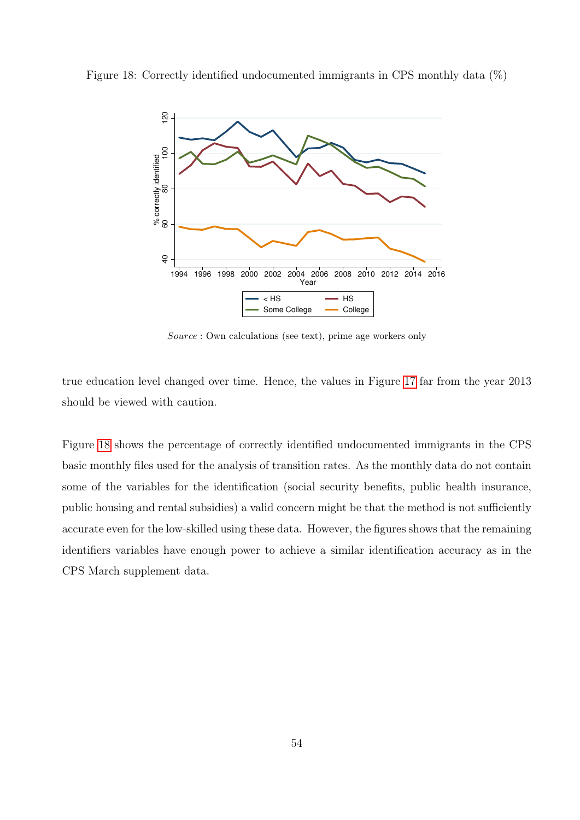<span id="page-53-0"></span>Figure 18: Correctly identified undocumented immigrants in CPS monthly data (%)



Source : Own calculations (see text), prime age workers only

true education level changed over time. Hence, the values in Figure [17](#page-52-0) far from the year 2013 should be viewed with caution.

Figure [18](#page-53-0) shows the percentage of correctly identified undocumented immigrants in the CPS basic monthly files used for the analysis of transition rates. As the monthly data do not contain some of the variables for the identification (social security benefits, public health insurance, public housing and rental subsidies) a valid concern might be that the method is not sufficiently accurate even for the low-skilled using these data. However, the figures shows that the remaining identifiers variables have enough power to achieve a similar identification accuracy as in the CPS March supplement data.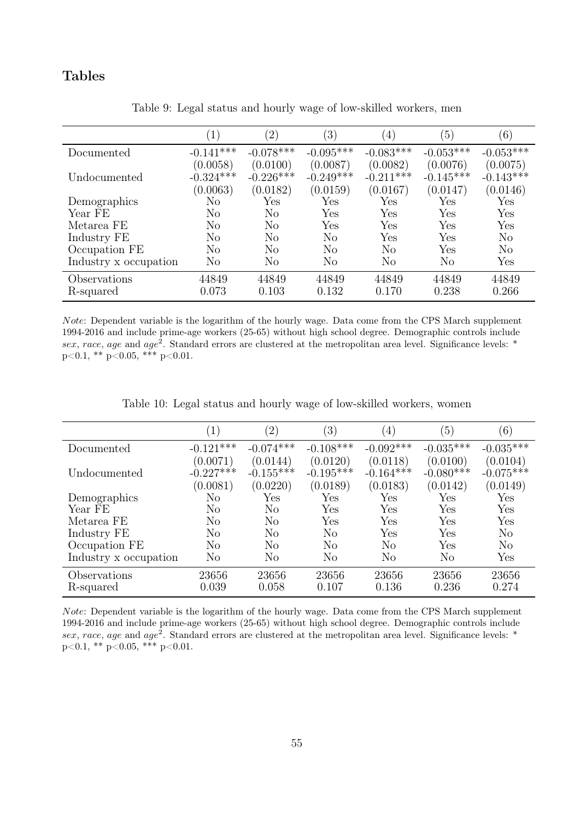### Tables

|                       | (1)            | $\left( 2\right)$ | $\left( 3\right)$ | $\left( 4\right)$    | (5)            | (6)            |
|-----------------------|----------------|-------------------|-------------------|----------------------|----------------|----------------|
| Documented            | $-0.141***$    | $-0.078***$       | $-0.095***$       | $-0.083***$          | $-0.053***$    | $-0.053***$    |
|                       | (0.0058)       | (0.0100)          | (0.0087)          | (0.0082)             | (0.0076)       | (0.0075)       |
| Undocumented          | $-0.324***$    | $-0.226***$       | $-0.249***$       | $-0.211***$          | $-0.145***$    | $-0.143***$    |
|                       | (0.0063)       | (0.0182)          | (0.0159)          | (0.0167)             | (0.0147)       | (0.0146)       |
| Demographics          | No             | Yes               | Yes               | Yes                  | Yes            | Yes            |
| Year FE               | No             | No                | Yes               | Yes                  | Yes            | Yes            |
| Metarea FE            | N <sub>o</sub> | No                | Yes               | $\operatorname{Yes}$ | Yes            | Yes            |
| Industry FE           | No             | N <sub>o</sub>    | N <sub>o</sub>    | Yes                  | Yes            | N <sub>o</sub> |
| Occupation FE         | No             | N <sub>o</sub>    | N <sub>o</sub>    | N <sub>o</sub>       | Yes            | N <sub>o</sub> |
| Industry x occupation | No             | N <sub>o</sub>    | N <sub>o</sub>    | $\rm No$             | N <sub>o</sub> | Yes            |
| Observations          | 44849          | 44849             | 44849             | 44849                | 44849          | 44849          |
| R-squared             | 0.073          | 0.103             | 0.132             | 0.170                | 0.238          | 0.266          |

Table 9: Legal status and hourly wage of low-skilled workers, men

Note: Dependent variable is the logarithm of the hourly wage. Data come from the CPS March supplement 1994-2016 and include prime-age workers (25-65) without high school degree. Demographic controls include sex, race, age and age<sup>2</sup>. Standard errors are clustered at the metropolitan area level. Significance levels: \*  $p<0.1$ , \*\*  $p<0.05$ , \*\*\*  $p<0.01$ .

|                       | $\overline{1}$ | $\left( 2\right)$ | $\left(3\right)$ | $\left(4\right)$     | $\left(5\right)$ | (6)            |
|-----------------------|----------------|-------------------|------------------|----------------------|------------------|----------------|
| Documented            | $-0.121***$    | $-0.074***$       | $-0.108***$      | $-0.092***$          | $-0.035***$      | $-0.035***$    |
|                       | (0.0071)       | (0.0144)          | (0.0120)         | (0.0118)             | (0.0100)         | (0.0104)       |
| Undocumented          | $-0.227***$    | $-0.155***$       | $-0.195***$      | $-0.164***$          | $-0.080***$      | $-0.075***$    |
|                       | (0.0081)       | (0.0220)          | (0.0189)         | (0.0183)             | (0.0142)         | (0.0149)       |
| Demographics          | No             | Yes               | Yes              | Yes                  | Yes              | Yes            |
| Year FE               | No             | No                | Yes              | Yes                  | Yes              | Yes            |
| Metarea FE            | No             | N <sub>o</sub>    | Yes              | Yes                  | Yes              | Yes            |
| Industry FE           | No             | No                | No               | $\operatorname{Yes}$ | Yes              | No             |
| Occupation FE         | No             | No                | N <sub>o</sub>   | No                   | Yes              | N <sub>o</sub> |
| Industry x occupation | No             | No                | N <sub>o</sub>   | No                   | N <sub>o</sub>   | Yes            |
| Observations          | 23656          | 23656             | 23656            | 23656                | 23656            | 23656          |
| R-squared             | 0.039          | 0.058             | 0.107            | 0.136                | 0.236            | 0.274          |

Table 10: Legal status and hourly wage of low-skilled workers, women

Note: Dependent variable is the logarithm of the hourly wage. Data come from the CPS March supplement 1994-2016 and include prime-age workers (25-65) without high school degree. Demographic controls include sex, race, age and age<sup>2</sup>. Standard errors are clustered at the metropolitan area level. Significance levels: \*  $p<0.1$ , \*\*  $p<0.05$ , \*\*\*  $p<0.01$ .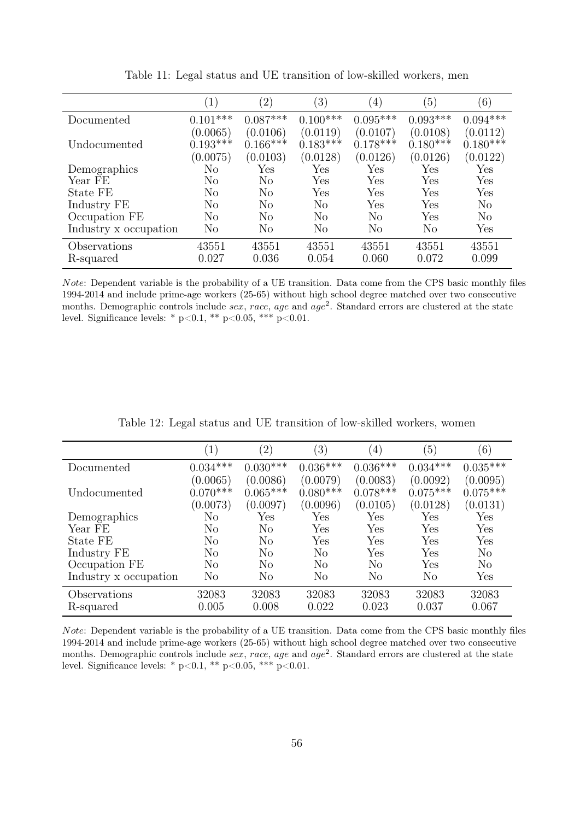|                       | $\left( 1\right)$ | $^{\prime}2)$        | $\left( 3\right)$ | $\left( 4\right)$ | (5)        | $\left( 6\right)$ |
|-----------------------|-------------------|----------------------|-------------------|-------------------|------------|-------------------|
| Documented            | $0.101***$        | $0.087***$           | $0.100***$        | $0.095***$        | $0.093***$ | $0.094***$        |
|                       | (0.0065)          | (0.0106)             | (0.0119)          | (0.0107)          | (0.0108)   | (0.0112)          |
| Undocumented          | $0.193***$        | $0.166***$           | $0.183***$        | $0.178***$        | $0.180***$ | $0.180***$        |
|                       | (0.0075)          | (0.0103)             | (0.0128)          | (0.0126)          | (0.0126)   | (0.0122)          |
| Demographics          | No                | $\operatorname{Yes}$ | Yes               | Yes               | Yes        | Yes               |
| Year FE               | N <sub>o</sub>    | No                   | Yes               | Yes               | Yes        | Yes               |
| State FE              | No                | No                   | Yes               | Yes               | Yes        | Yes               |
| Industry FE           | No                | No                   | N <sub>o</sub>    | Yes               | Yes        | $\rm No$          |
| Occupation FE         | No                | No                   | $\rm No$          | N <sub>o</sub>    | Yes        | N <sub>o</sub>    |
| Industry x occupation | N <sub>o</sub>    | No                   | No                | N <sub>o</sub>    | $\rm No$   | Yes               |
| Observations          | 43551             | 43551                | 43551             | 43551             | 43551      | 43551             |
| R-squared             | 0.027             | 0.036                | 0.054             | 0.060             | 0.072      | 0.099             |

Table 11: Legal status and UE transition of low-skilled workers, men

Note: Dependent variable is the probability of a UE transition. Data come from the CPS basic monthly files 1994-2014 and include prime-age workers (25-65) without high school degree matched over two consecutive months. Demographic controls include sex, race, age and  $age^2$ . Standard errors are clustered at the state level. Significance levels: \* p<0.1, \*\* p<0.05, \*\*\* p<0.01.

|                       | $\left( 1\right)$ | $^{\prime}2)$ | $^{\prime}3)$  | $\left( 4\right)$ | $\left(5\right)$ | (6)            |
|-----------------------|-------------------|---------------|----------------|-------------------|------------------|----------------|
| Documented            | $0.034***$        | $0.030***$    | $0.036***$     | $0.036***$        | $0.034***$       | $0.035***$     |
|                       | (0.0065)          | (0.0086)      | (0.0079)       | (0.0083)          | (0.0092)         | (0.0095)       |
| Undocumented          | $0.070***$        | $0.065***$    | $0.080***$     | $0.078***$        | $0.075***$       | $0.075***$     |
|                       | (0.0073)          | (0.0097)      | (0.0096)       | (0.0105)          | (0.0128)         | (0.0131)       |
| Demographics          | No                | Yes           | Yes            | Yes               | Yes              | Yes            |
| Year FE               | $\rm No$          | No            | Yes            | Yes               | Yes              | Yes            |
| State FE              | No                | No            | Yes            | Yes               | Yes              | Yes            |
| Industry FE           | No                | No            | N <sub>o</sub> | Yes               | Yes              | N <sub>o</sub> |
| Occupation FE         | No                | No            | N <sub>o</sub> | No                | Yes              | N <sub>o</sub> |
| Industry x occupation | No                | No            | No             | No                | N <sub>o</sub>   | Yes            |
| Observations          | 32083             | 32083         | 32083          | 32083             | 32083            | 32083          |
| R-squared             | 0.005             | 0.008         | 0.022          | 0.023             | 0.037            | 0.067          |

Table 12: Legal status and UE transition of low-skilled workers, women

Note: Dependent variable is the probability of a UE transition. Data come from the CPS basic monthly files 1994-2014 and include prime-age workers (25-65) without high school degree matched over two consecutive months. Demographic controls include sex, race, age and  $age^2$ . Standard errors are clustered at the state level. Significance levels: \*  $p<0.1$ , \*\*  $p<0.05$ , \*\*\*  $p<0.01$ .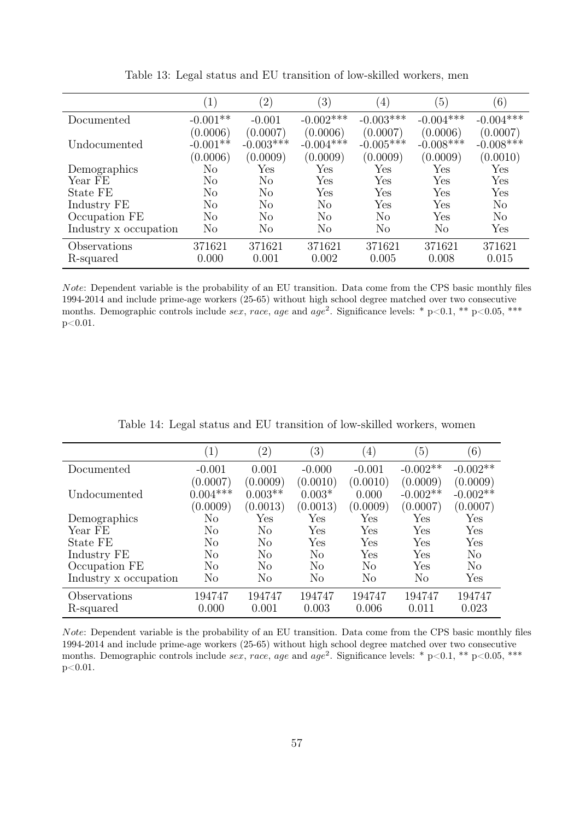|                       | $\left(1\right)$ | $^{\prime}2)$ | $\left( 3\right)$ | $\left(4\right)$ | $\left(5\right)$ | (6)         |
|-----------------------|------------------|---------------|-------------------|------------------|------------------|-------------|
| Documented            | $-0.001**$       | $-0.001$      | $-0.002***$       | $-0.003***$      | $-0.004***$      | $-0.004***$ |
|                       | (0.0006)         | (0.0007)      | (0.0006)          | (0.0007)         | (0.0006)         | (0.0007)    |
| Undocumented          | $-0.001**$       | $-0.003***$   | $-0.004***$       | $-0.005***$      | $-0.008***$      | $-0.008***$ |
|                       | (0.0006)         | (0.0009)      | (0.0009)          | (0.0009)         | (0.0009)         | (0.0010)    |
| Demographics          | No               | Yes           | Yes               | Yes              | Yes              | Yes         |
| Year FE               | $\rm No$         | No            | Yes               | Yes              | Yes              | Yes         |
| State FE              | No               | No            | Yes               | Yes              | Yes              | Yes         |
| Industry FE           | No               | No            | No                | Yes              | Yes              | $\rm No$    |
| Occupation FE         | No               | No            | No                | N <sub>o</sub>   | Yes              | $\rm No$    |
| Industry x occupation | No               | No            | No                | N <sub>o</sub>   | No               | Yes         |
| Observations          | 371621           | 371621        | 371621            | 371621           | 371621           | 371621      |
| R-squared             | 0.000            | 0.001         | 0.002             | 0.005            | 0.008            | 0.015       |

Table 13: Legal status and EU transition of low-skilled workers, men

Note: Dependent variable is the probability of an EU transition. Data come from the CPS basic monthly files 1994-2014 and include prime-age workers (25-65) without high school degree matched over two consecutive months. Demographic controls include sex, race, age and age<sup>2</sup>. Significance levels: \* p<0.1, \*\* p<0.05, \*\*\* p<0.01.

|                       | $\left(1\right)$ | $^{\prime}2)$  | $\left(3\right)$ | $\left( 4\right)$    | $\left(5\right)$ | (6)        |
|-----------------------|------------------|----------------|------------------|----------------------|------------------|------------|
| Documented            | $-0.001$         | 0.001          | $-0.000$         | $-0.001$             | $-0.002**$       | $-0.002**$ |
|                       | (0.0007)         | (0.0009)       | (0.0010)         | (0.0010)             | (0.0009)         | (0.0009)   |
| Undocumented          | $0.004***$       | $0.003**$      | $0.003*$         | 0.000                | $-0.002**$       | $-0.002**$ |
|                       | (0.0009)         | (0.0013)       | (0.0013)         | (0.0009)             | (0.0007)         | (0.0007)   |
| Demographics          | No               | Yes            | Yes              | Yes                  | Yes              | Yes        |
| Year FE               | No               | N <sub>o</sub> | Yes              | $\operatorname{Yes}$ | Yes              | Yes        |
| State FE              | No               | N <sub>o</sub> | Yes              | Yes                  | Yes              | Yes        |
| Industry FE           | No               | No             | No               | Yes                  | Yes              | No         |
| Occupation FE         | N <sub>o</sub>   | N <sub>o</sub> | No               | N <sub>o</sub>       | Yes              | No         |
| Industry x occupation | No               | N <sub>o</sub> | No               | $\rm No$             | $\rm No$         | Yes        |
| Observations          | 194747           | 194747         | 194747           | 194747               | 194747           | 194747     |
| R-squared             | 0.000            | 0.001          | 0.003            | 0.006                | 0.011            | 0.023      |

Table 14: Legal status and EU transition of low-skilled workers, women

Note: Dependent variable is the probability of an EU transition. Data come from the CPS basic monthly files 1994-2014 and include prime-age workers (25-65) without high school degree matched over two consecutive months. Demographic controls include sex, race, age and age<sup>2</sup>. Significance levels: \* p<0.1, \*\* p<0.05, \*\*\* p<0.01.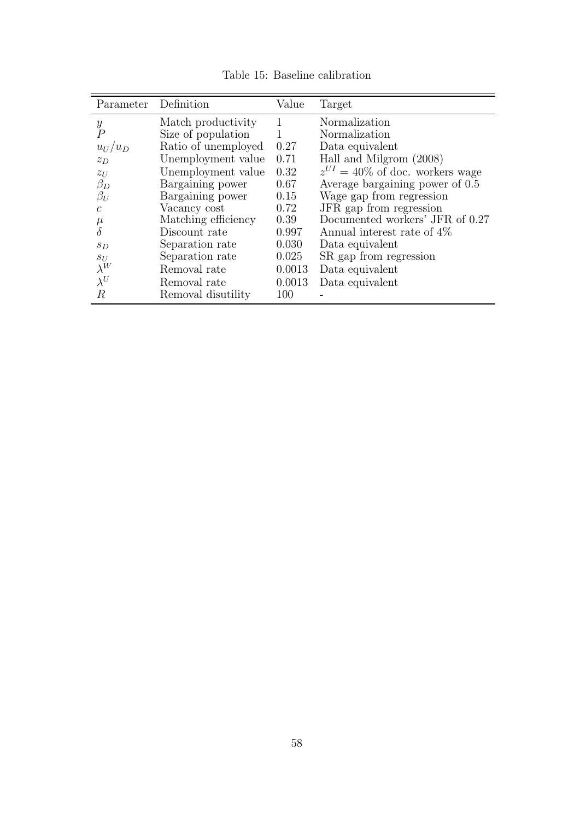<span id="page-57-0"></span>

| Parameter      | Definition          | Value  | Target                               |
|----------------|---------------------|--------|--------------------------------------|
| Y              | Match productivity  | 1      | Normalization                        |
| $\overline{P}$ | Size of population  | 1      | Normalization                        |
| $u_U/u_D$      | Ratio of unemployed | 0.27   | Data equivalent                      |
| $z_D$          | Unemployment value  | 0.71   | Hall and Milgrom (2008)              |
| $z_U$          | Unemployment value  | 0.32   | $z^{UI} = 40\%$ of doc. workers wage |
| $\beta_D$      | Bargaining power    | 0.67   | Average bargaining power of 0.5      |
| $\beta_U$      | Bargaining power    | 0.15   | Wage gap from regression             |
| $\mathcal{C}$  | Vacancy cost        | 0.72   | JFR gap from regression              |
| $\mu$          | Matching efficiency | 0.39   | Documented workers' JFR of 0.27      |
| $\delta$       | Discount rate       | 0.997  | Annual interest rate of 4\%          |
| $s_D$          | Separation rate     | 0.030  | Data equivalent                      |
| $S_U$          | Separation rate     | 0.025  | SR gap from regression               |
| $\lambda^W$    | Removal rate        | 0.0013 | Data equivalent                      |
| $\lambda^U$    | Removal rate        | 0.0013 | Data equivalent                      |
| R              | Removal disutility  | 100    |                                      |

Table 15: Baseline calibration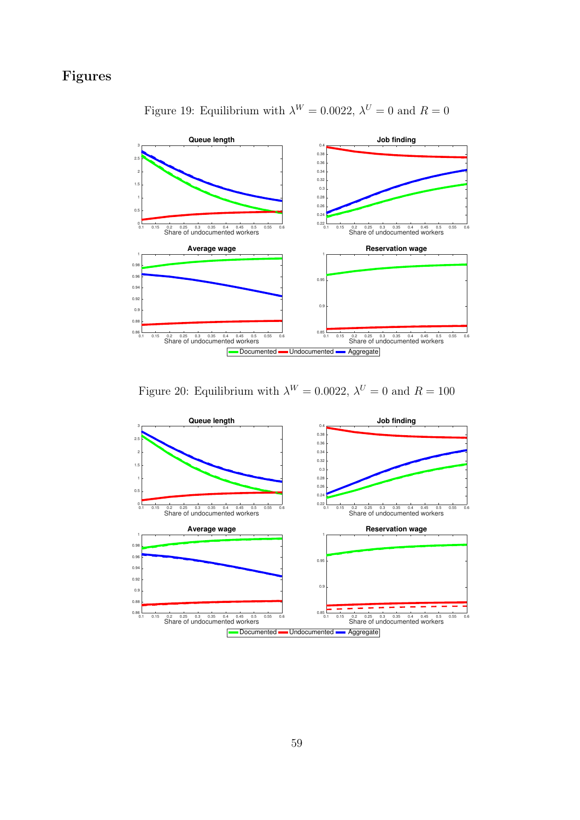# <span id="page-58-0"></span>Figures



Figure 19: Equilibrium with  $\lambda^W = 0.0022$ ,  $\lambda^U = 0$  and  $R = 0$ 

Figure 20: Equilibrium with  $\lambda^{W} = 0.0022$ ,  $\lambda^{U} = 0$  and  $R = 100$ 

<span id="page-58-1"></span>